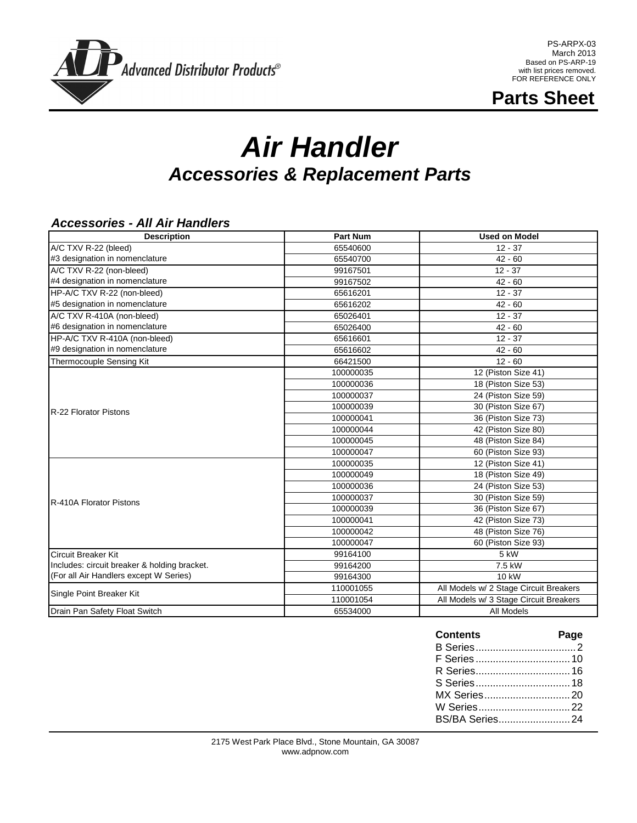

PS-ARPX-03 March 2013 Based on PS-ARP-19 with list prices removed. FOR REFERENCE ONLY

**Parts Sheet**

# *Air Handler Accessories & Replacement Parts*

#### *Accessories - All Air Handlers*

| <b>Description</b>                           | <b>Part Num</b> | <b>Used on Model</b>                   |
|----------------------------------------------|-----------------|----------------------------------------|
| A/C TXV R-22 (bleed)                         | 65540600        | $12 - 37$                              |
| #3 designation in nomenclature               | 65540700        | $42 - 60$                              |
| A/C TXV R-22 (non-bleed)                     | 99167501        | $12 - 37$                              |
| #4 designation in nomenclature               | 99167502        | $42 - 60$                              |
| HP-A/C TXV R-22 (non-bleed)                  | 65616201        | $12 - 37$                              |
| #5 designation in nomenclature               | 65616202        | $42 - 60$                              |
| A/C TXV R-410A (non-bleed)                   | 65026401        | $12 - 37$                              |
| #6 designation in nomenclature               | 65026400        | $42 - 60$                              |
| HP-A/C TXV R-410A (non-bleed)                | 65616601        | $12 - 37$                              |
| #9 designation in nomenclature               | 65616602        | $42 - 60$                              |
| Thermocouple Sensing Kit                     | 66421500        | $12 - 60$                              |
|                                              | 100000035       | 12 (Piston Size 41)                    |
|                                              | 100000036       | 18 (Piston Size 53)                    |
|                                              | 100000037       | 24 (Piston Size 59)                    |
| R-22 Florator Pistons                        | 100000039       | 30 (Piston Size 67)                    |
|                                              | 100000041       | 36 (Piston Size 73)                    |
|                                              | 100000044       | 42 (Piston Size 80)                    |
|                                              | 100000045       | 48 (Piston Size 84)                    |
|                                              | 100000047       | 60 (Piston Size 93)                    |
|                                              | 100000035       | 12 (Piston Size 41)                    |
|                                              | 100000049       | 18 (Piston Size 49)                    |
|                                              | 100000036       | 24 (Piston Size 53)                    |
| R-410A Florator Pistons                      | 100000037       | 30 (Piston Size 59)                    |
|                                              | 100000039       | 36 (Piston Size 67)                    |
|                                              | 100000041       | 42 (Piston Size 73)                    |
|                                              | 100000042       | 48 (Piston Size 76)                    |
|                                              | 100000047       | 60 (Piston Size 93)                    |
| <b>Circuit Breaker Kit</b>                   | 99164100        | 5 kW                                   |
| Includes: circuit breaker & holding bracket. | 99164200        | 7.5 kW                                 |
| (For all Air Handlers except W Series)       | 99164300        | 10 kW                                  |
| Single Point Breaker Kit                     | 110001055       | All Models w/ 2 Stage Circuit Breakers |
|                                              | 110001054       | All Models w/ 3 Stage Circuit Breakers |
| Drain Pan Safety Float Switch                | 65534000        | All Models                             |

| <b>Contents</b> | Page |
|-----------------|------|
|                 |      |
|                 |      |
|                 |      |
|                 |      |
|                 |      |
|                 |      |
| BS/BA Series24  |      |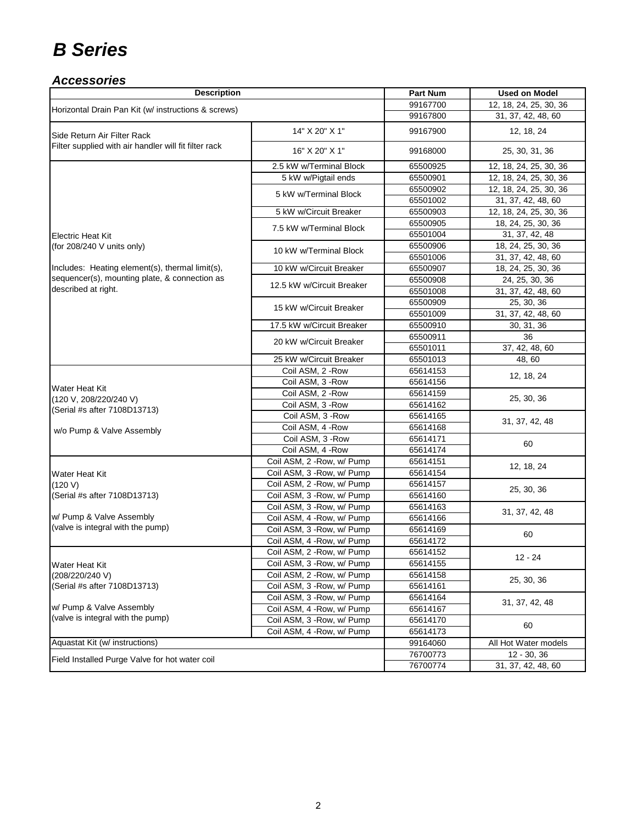#### *Accessories*

| <b>Description</b>                                            | <b>Part Num</b>            | <b>Used on Model</b> |                        |  |
|---------------------------------------------------------------|----------------------------|----------------------|------------------------|--|
| Horizontal Drain Pan Kit (w/ instructions & screws)           |                            | 99167700             | 12, 18, 24, 25, 30, 36 |  |
|                                                               |                            | 99167800             | 31, 37, 42, 48, 60     |  |
| Side Return Air Filter Rack                                   | 14" X 20" X 1"             | 99167900             | 12, 18, 24             |  |
| Filter supplied with air handler will fit filter rack         | 16" X 20" X 1"             | 99168000             | 25, 30, 31, 36         |  |
|                                                               | 2.5 kW w/Terminal Block    | 65500925             | 12, 18, 24, 25, 30, 36 |  |
|                                                               | 5 kW w/Pigtail ends        | 65500901             | 12, 18, 24, 25, 30, 36 |  |
|                                                               | 5 kW w/Terminal Block      | 65500902             | 12, 18, 24, 25, 30, 36 |  |
|                                                               |                            | 65501002             | 31, 37, 42, 48, 60     |  |
|                                                               | 5 kW w/Circuit Breaker     | 65500903             | 12, 18, 24, 25, 30, 36 |  |
|                                                               | 7.5 kW w/Terminal Block    | 65500905             | 18, 24, 25, 30, 36     |  |
| <b>Electric Heat Kit</b>                                      |                            | 65501004             | 31, 37, 42, 48         |  |
| (for 208/240 V units only)                                    | 10 kW w/Terminal Block     | 65500906             | 18, 24, 25, 30, 36     |  |
|                                                               |                            | 65501006             | 31, 37, 42, 48, 60     |  |
| Includes: Heating element(s), thermal limit(s),               | 10 kW w/Circuit Breaker    | 65500907             | 18, 24, 25, 30, 36     |  |
| sequencer(s), mounting plate, & connection as                 | 12.5 kW w/Circuit Breaker  | 65500908             | 24, 25, 30, 36         |  |
| described at right.                                           |                            | 65501008             | 31, 37, 42, 48, 60     |  |
|                                                               | 15 kW w/Circuit Breaker    | 65500909             | 25, 30, 36             |  |
|                                                               |                            | 65501009             | 31, 37, 42, 48, 60     |  |
|                                                               | 17.5 kW w/Circuit Breaker  | 65500910             | 30, 31, 36             |  |
|                                                               | 20 kW w/Circuit Breaker    | 65500911             | 36                     |  |
|                                                               |                            | 65501011             | 37, 42, 48, 60         |  |
|                                                               | 25 kW w/Circuit Breaker    | 65501013             | 48,60                  |  |
|                                                               | Coil ASM, 2 - Row          | 65614153             | 12, 18, 24             |  |
| Water Heat Kit                                                | Coil ASM, 3 - Row          | 65614156             |                        |  |
| (120 V, 208/220/240 V)                                        | Coil ASM, 2 - Row          | 65614159             | 25, 30, 36             |  |
| (Serial #s after 7108D13713)                                  | Coil ASM, 3 - Row          | 65614162             |                        |  |
|                                                               | Coil ASM, 3 - Row          | 65614165             | 31, 37, 42, 48         |  |
| w/o Pump & Valve Assembly                                     | Coil ASM, 4 - Row          | 65614168             |                        |  |
|                                                               | Coil ASM, 3 - Row          | 65614171             | 60                     |  |
|                                                               | Coil ASM, 4 - Row          | 65614174             |                        |  |
|                                                               | Coil ASM, 2 - Row, w/ Pump | 65614151             | 12, 18, 24             |  |
| Water Heat Kit                                                | Coil ASM, 3 - Row, w/ Pump | 65614154             |                        |  |
| (120 V)                                                       | Coil ASM, 2 - Row, w/ Pump | 65614157             | 25, 30, 36             |  |
| (Serial #s after 7108D13713)                                  | Coil ASM, 3 - Row, w/ Pump | 65614160             |                        |  |
|                                                               | Coil ASM, 3 - Row, w/ Pump | 65614163             | 31, 37, 42, 48         |  |
| w/ Pump & Valve Assembly<br>(valve is integral with the pump) | Coil ASM, 4 - Row, w/ Pump | 65614166             |                        |  |
|                                                               | Coil ASM, 3 - Row, w/ Pump | 65614169             | 60                     |  |
|                                                               | Coil ASM, 4 - Row, w/ Pump | 65614172             |                        |  |
|                                                               | Coil ASM, 2 - Row, w/ Pump | 65614152             | $12 - 24$              |  |
| Water Heat Kit                                                | Coil ASM, 3 - Row, w/ Pump | 65614155             |                        |  |
| (208/220/240 V)                                               | Coil ASM, 2 - Row, w/ Pump | 65614158             | 25, 30, 36             |  |
| (Serial #s after 7108D13713)                                  | Coil ASM, 3 - Row, w/ Pump | 65614161             |                        |  |
| w/ Pump & Valve Assembly                                      | Coil ASM, 3 - Row, w/ Pump | 65614164             | 31, 37, 42, 48         |  |
| (valve is integral with the pump)                             | Coil ASM, 4 - Row, w/ Pump | 65614167             |                        |  |
|                                                               | Coil ASM, 3 - Row, w/ Pump | 65614170             | 60                     |  |
|                                                               | Coil ASM, 4 - Row, w/ Pump | 65614173             |                        |  |
| Aquastat Kit (w/ instructions)                                |                            | 99164060             | All Hot Water models   |  |
| Field Installed Purge Valve for hot water coil                |                            | 76700773             | $12 - 30, 36$          |  |
|                                                               | 76700774                   | 31, 37, 42, 48, 60   |                        |  |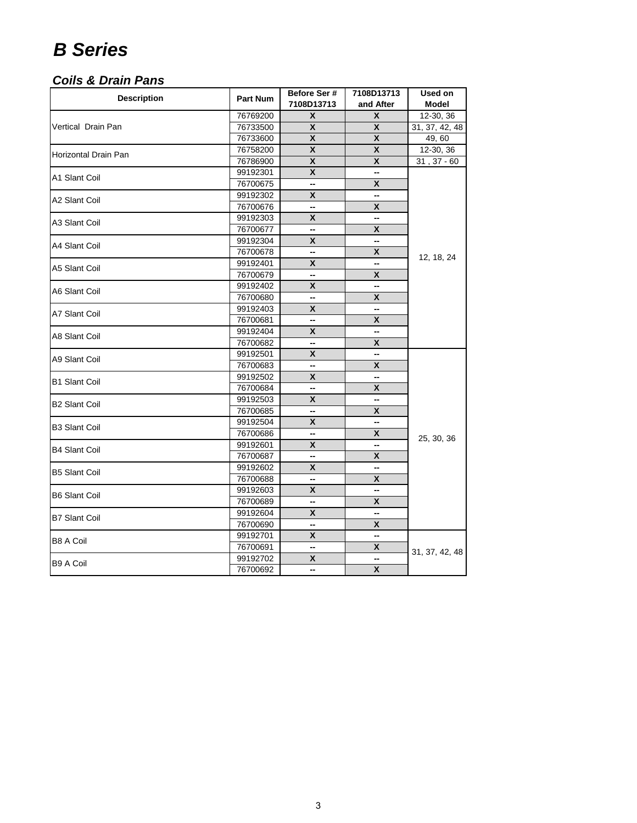#### *Coils & Drain Pans*

| <b>Description</b>   | <b>Part Num</b> | Before Ser #            | 7108D13713         | Used on        |
|----------------------|-----------------|-------------------------|--------------------|----------------|
|                      |                 | 7108D13713              | and After          | <b>Model</b>   |
|                      | 76769200        | X                       | X                  | 12-30, 36      |
| Vertical Drain Pan   | 76733500        | X                       | X                  | 31, 37, 42, 48 |
|                      | 76733600        | X                       | X                  | 49,60          |
| Horizontal Drain Pan | 76758200        | X                       | X                  | 12-30, 36      |
|                      | 76786900        | X                       | X                  | $31, 37 - 60$  |
| A1 Slant Coil        | 99192301        | X                       | -−                 |                |
|                      | 76700675        | --                      | X                  |                |
| A2 Slant Coil        | 99192302        | X                       | --                 |                |
|                      | 76700676        | --                      | X                  |                |
| A3 Slant Coil        | 99192303        | X                       | --                 |                |
|                      | 76700677        | --                      | X                  |                |
| A4 Slant Coil        | 99192304        | $\pmb{\mathsf{X}}$      | --                 |                |
|                      | 76700678        | --                      | X                  | 12, 18, 24     |
| A5 Slant Coil        | 99192401        | X                       |                    |                |
|                      | 76700679        | --                      | $\pmb{\mathsf{X}}$ |                |
| A6 Slant Coil        | 99192402        | X                       | --                 |                |
|                      | 76700680        | --                      | X                  |                |
| A7 Slant Coil        | 99192403        | X                       | --                 |                |
|                      | 76700681        | --                      | X                  |                |
| A8 Slant Coil        | 99192404        | X                       | --                 |                |
|                      | 76700682        | --                      | X                  |                |
| A9 Slant Coil        | 99192501        | X                       | -−                 |                |
|                      | 76700683        | --                      | X                  |                |
| <b>B1 Slant Coil</b> | 99192502        | X                       | --                 |                |
|                      | 76700684        | --                      | X                  |                |
| <b>B2 Slant Coil</b> | 99192503        | $\overline{\mathbf{x}}$ | н.                 |                |
|                      | 76700685        | --                      | X                  |                |
| <b>B3 Slant Coil</b> | 99192504        | X                       | --                 |                |
|                      | 76700686        | --                      | X                  | 25, 30, 36     |
| <b>B4 Slant Coil</b> | 99192601        | X                       | --                 |                |
|                      | 76700687        | --                      | X                  |                |
| <b>B5 Slant Coil</b> | 99192602        | X                       | --                 |                |
|                      | 76700688        | --                      | X                  |                |
| <b>B6 Slant Coil</b> | 99192603        | $\overline{\mathbf{x}}$ | --                 |                |
|                      | 76700689        | --                      | X                  |                |
| <b>B7 Slant Coil</b> | 99192604        | X                       | --                 |                |
|                      | 76700690        | --                      | X                  |                |
| <b>B8 A Coil</b>     | 99192701        | X                       | --                 |                |
|                      | 76700691        | --                      | X                  | 31, 37, 42, 48 |
| <b>B9 A Coil</b>     | 99192702        | X                       | ш.                 |                |
|                      | 76700692        | --                      | $\pmb{\mathsf{X}}$ |                |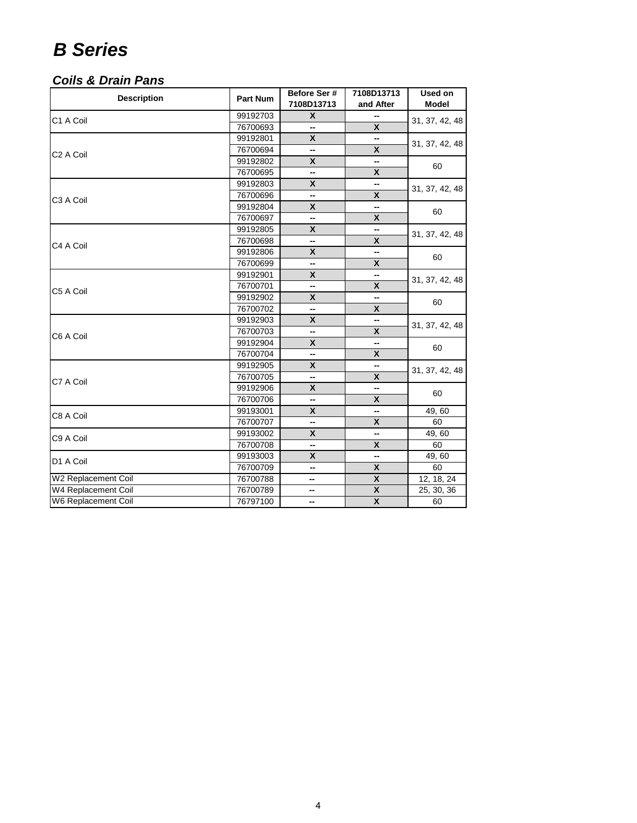#### *Coils & Drain Pans*

| 7108D13713<br>and After<br><b>Model</b><br>99192703<br>X<br>C1 A Coil<br>31, 37, 42, 48<br>X<br>76700693<br>--<br>X<br>99192801<br>31, 37, 42, 48<br>X<br>76700694<br>--<br>C <sub>2</sub> A Coil<br>X<br>99192802<br>⊷<br>60<br>X<br>76700695<br>−<br>X<br>99192803<br>--<br>31, 37, 42, 48<br>76700696<br>X<br>--<br>C3 A Coil<br>X<br>99192804<br>--<br>60<br>76700697<br>X<br>--<br>X<br>99192805<br>--<br>31, 37, 42, 48<br>76700698<br>X<br>⊷<br>C4 A Coil<br>X<br>99192806<br>--<br>60<br>X<br>76700699<br>--<br>X<br>99192901<br>31, 37, 42, 48<br>X<br>76700701<br>--<br>C5 A Coil<br>X<br>99192902<br>--<br>60<br>X<br>76700702<br>--<br>$\boldsymbol{x}$<br>99192903<br>⊷<br>31, 37, 42, 48<br>76700703<br>X<br>--<br>C6 A Coil<br>$\mathsf{x}$<br>99192904<br>--<br>60<br>X<br>76700704<br>--<br>$\pmb{\mathsf{x}}$<br>99192905<br>-−<br>31, 37, 42, 48<br>X<br>76700705<br>--<br>C7 A Coil<br>X<br>99192906<br>--<br>60<br>X<br>76700706<br>--<br>X<br>49,60<br>99193001<br>--<br>C8 A Coil<br>X<br>60<br>76700707<br>-- | <b>Description</b> | <b>Part Num</b> | Before Ser# | 7108D13713 | Used on |  |
|---------------------------------------------------------------------------------------------------------------------------------------------------------------------------------------------------------------------------------------------------------------------------------------------------------------------------------------------------------------------------------------------------------------------------------------------------------------------------------------------------------------------------------------------------------------------------------------------------------------------------------------------------------------------------------------------------------------------------------------------------------------------------------------------------------------------------------------------------------------------------------------------------------------------------------------------------------------------------------------------------------------------------------------|--------------------|-----------------|-------------|------------|---------|--|
|                                                                                                                                                                                                                                                                                                                                                                                                                                                                                                                                                                                                                                                                                                                                                                                                                                                                                                                                                                                                                                       |                    |                 |             |            |         |  |
|                                                                                                                                                                                                                                                                                                                                                                                                                                                                                                                                                                                                                                                                                                                                                                                                                                                                                                                                                                                                                                       |                    |                 |             |            |         |  |
|                                                                                                                                                                                                                                                                                                                                                                                                                                                                                                                                                                                                                                                                                                                                                                                                                                                                                                                                                                                                                                       |                    |                 |             |            |         |  |
|                                                                                                                                                                                                                                                                                                                                                                                                                                                                                                                                                                                                                                                                                                                                                                                                                                                                                                                                                                                                                                       |                    |                 |             |            |         |  |
|                                                                                                                                                                                                                                                                                                                                                                                                                                                                                                                                                                                                                                                                                                                                                                                                                                                                                                                                                                                                                                       |                    |                 |             |            |         |  |
|                                                                                                                                                                                                                                                                                                                                                                                                                                                                                                                                                                                                                                                                                                                                                                                                                                                                                                                                                                                                                                       |                    |                 |             |            |         |  |
|                                                                                                                                                                                                                                                                                                                                                                                                                                                                                                                                                                                                                                                                                                                                                                                                                                                                                                                                                                                                                                       |                    |                 |             |            |         |  |
|                                                                                                                                                                                                                                                                                                                                                                                                                                                                                                                                                                                                                                                                                                                                                                                                                                                                                                                                                                                                                                       |                    |                 |             |            |         |  |
|                                                                                                                                                                                                                                                                                                                                                                                                                                                                                                                                                                                                                                                                                                                                                                                                                                                                                                                                                                                                                                       |                    |                 |             |            |         |  |
|                                                                                                                                                                                                                                                                                                                                                                                                                                                                                                                                                                                                                                                                                                                                                                                                                                                                                                                                                                                                                                       |                    |                 |             |            |         |  |
|                                                                                                                                                                                                                                                                                                                                                                                                                                                                                                                                                                                                                                                                                                                                                                                                                                                                                                                                                                                                                                       |                    |                 |             |            |         |  |
|                                                                                                                                                                                                                                                                                                                                                                                                                                                                                                                                                                                                                                                                                                                                                                                                                                                                                                                                                                                                                                       |                    |                 |             |            |         |  |
|                                                                                                                                                                                                                                                                                                                                                                                                                                                                                                                                                                                                                                                                                                                                                                                                                                                                                                                                                                                                                                       |                    |                 |             |            |         |  |
|                                                                                                                                                                                                                                                                                                                                                                                                                                                                                                                                                                                                                                                                                                                                                                                                                                                                                                                                                                                                                                       |                    |                 |             |            |         |  |
|                                                                                                                                                                                                                                                                                                                                                                                                                                                                                                                                                                                                                                                                                                                                                                                                                                                                                                                                                                                                                                       |                    |                 |             |            |         |  |
|                                                                                                                                                                                                                                                                                                                                                                                                                                                                                                                                                                                                                                                                                                                                                                                                                                                                                                                                                                                                                                       |                    |                 |             |            |         |  |
|                                                                                                                                                                                                                                                                                                                                                                                                                                                                                                                                                                                                                                                                                                                                                                                                                                                                                                                                                                                                                                       |                    |                 |             |            |         |  |
|                                                                                                                                                                                                                                                                                                                                                                                                                                                                                                                                                                                                                                                                                                                                                                                                                                                                                                                                                                                                                                       |                    |                 |             |            |         |  |
|                                                                                                                                                                                                                                                                                                                                                                                                                                                                                                                                                                                                                                                                                                                                                                                                                                                                                                                                                                                                                                       |                    |                 |             |            |         |  |
|                                                                                                                                                                                                                                                                                                                                                                                                                                                                                                                                                                                                                                                                                                                                                                                                                                                                                                                                                                                                                                       |                    |                 |             |            |         |  |
|                                                                                                                                                                                                                                                                                                                                                                                                                                                                                                                                                                                                                                                                                                                                                                                                                                                                                                                                                                                                                                       |                    |                 |             |            |         |  |
|                                                                                                                                                                                                                                                                                                                                                                                                                                                                                                                                                                                                                                                                                                                                                                                                                                                                                                                                                                                                                                       |                    |                 |             |            |         |  |
|                                                                                                                                                                                                                                                                                                                                                                                                                                                                                                                                                                                                                                                                                                                                                                                                                                                                                                                                                                                                                                       |                    |                 |             |            |         |  |
|                                                                                                                                                                                                                                                                                                                                                                                                                                                                                                                                                                                                                                                                                                                                                                                                                                                                                                                                                                                                                                       |                    |                 |             |            |         |  |
|                                                                                                                                                                                                                                                                                                                                                                                                                                                                                                                                                                                                                                                                                                                                                                                                                                                                                                                                                                                                                                       |                    |                 |             |            |         |  |
|                                                                                                                                                                                                                                                                                                                                                                                                                                                                                                                                                                                                                                                                                                                                                                                                                                                                                                                                                                                                                                       |                    |                 |             |            |         |  |
|                                                                                                                                                                                                                                                                                                                                                                                                                                                                                                                                                                                                                                                                                                                                                                                                                                                                                                                                                                                                                                       |                    |                 |             |            |         |  |
|                                                                                                                                                                                                                                                                                                                                                                                                                                                                                                                                                                                                                                                                                                                                                                                                                                                                                                                                                                                                                                       |                    |                 |             |            |         |  |
|                                                                                                                                                                                                                                                                                                                                                                                                                                                                                                                                                                                                                                                                                                                                                                                                                                                                                                                                                                                                                                       |                    |                 |             |            |         |  |
|                                                                                                                                                                                                                                                                                                                                                                                                                                                                                                                                                                                                                                                                                                                                                                                                                                                                                                                                                                                                                                       |                    | 99193002        | X           | --         | 49,60   |  |
| C9 A Coil<br>X<br>76700708<br>60<br>--                                                                                                                                                                                                                                                                                                                                                                                                                                                                                                                                                                                                                                                                                                                                                                                                                                                                                                                                                                                                |                    |                 |             |            |         |  |
| X<br>49,60<br>99193003<br>−−                                                                                                                                                                                                                                                                                                                                                                                                                                                                                                                                                                                                                                                                                                                                                                                                                                                                                                                                                                                                          |                    |                 |             |            |         |  |
| D1 A Coil<br>X<br>76700709<br>60<br>--                                                                                                                                                                                                                                                                                                                                                                                                                                                                                                                                                                                                                                                                                                                                                                                                                                                                                                                                                                                                |                    |                 |             |            |         |  |
| W2 Replacement Coil<br>X<br>12, 18, 24<br>76700788<br>--                                                                                                                                                                                                                                                                                                                                                                                                                                                                                                                                                                                                                                                                                                                                                                                                                                                                                                                                                                              |                    |                 |             |            |         |  |
| W4 Replacement Coil<br>X<br>76700789<br>25, 30, 36<br>−−                                                                                                                                                                                                                                                                                                                                                                                                                                                                                                                                                                                                                                                                                                                                                                                                                                                                                                                                                                              |                    |                 |             |            |         |  |
| W6 Replacement Coil<br>X<br>76797100<br>60<br>--                                                                                                                                                                                                                                                                                                                                                                                                                                                                                                                                                                                                                                                                                                                                                                                                                                                                                                                                                                                      |                    |                 |             |            |         |  |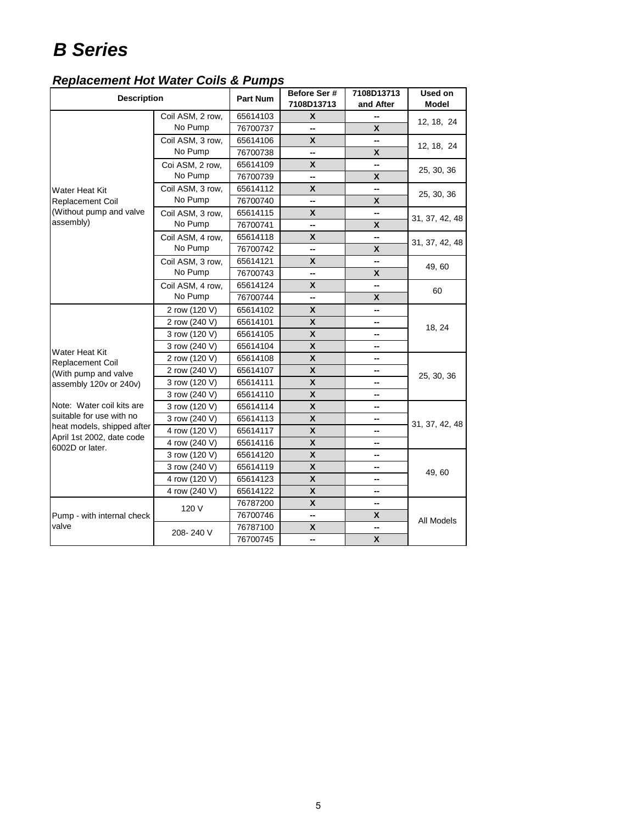#### *Replacement Hot Water Coils & Pumps*

| <b>Description</b>                           |                  | <b>Part Num</b> | Before Ser#<br>7108D13713 | 7108D13713<br>and After | Used on<br>Model |  |
|----------------------------------------------|------------------|-----------------|---------------------------|-------------------------|------------------|--|
|                                              | Coil ASM, 2 row, | 65614103        | $\mathsf{x}$              |                         | 12, 18, 24       |  |
|                                              | No Pump          | 76700737        | -−                        | X                       |                  |  |
|                                              | Coil ASM, 3 row, | 65614106        | X                         | --                      | 12, 18, 24       |  |
|                                              | No Pump          | 76700738        | --                        | X                       |                  |  |
|                                              | Coi ASM, 2 row,  | 65614109        | X                         | --                      | 25, 30, 36       |  |
|                                              | No Pump          | 76700739        | --                        | X                       |                  |  |
| Water Heat Kit                               | Coil ASM, 3 row, | 65614112        | $\mathbf{x}$              | --                      |                  |  |
| Replacement Coil                             | No Pump          | 76700740        | --                        | $\mathsf{x}$            | 25, 30, 36       |  |
| (Without pump and valve                      | Coil ASM, 3 row, | 65614115        | X                         | --                      |                  |  |
| assembly)                                    | No Pump          | 76700741        | --                        | $\mathsf{x}$            | 31, 37, 42, 48   |  |
|                                              | Coil ASM, 4 row, | 65614118        | $\boldsymbol{x}$          | --                      |                  |  |
|                                              | No Pump          | 76700742        | --                        | X                       | 31, 37, 42, 48   |  |
|                                              | Coil ASM, 3 row, | 65614121        | $\mathsf{x}$              | --                      |                  |  |
|                                              | No Pump          | 76700743        | --                        | X                       | 49,60            |  |
|                                              | Coil ASM, 4 row, | 65614124        | X                         | --                      |                  |  |
|                                              | No Pump          | 76700744        | --                        | X                       | 60               |  |
|                                              | 2 row (120 V)    | 65614102        | X                         | --                      |                  |  |
|                                              | 2 row (240 V)    | 65614101        | X                         | --                      | 18, 24           |  |
|                                              | 3 row (120 V)    | 65614105        | X                         | -−                      |                  |  |
|                                              | 3 row (240 V)    | 65614104        | X                         | --                      |                  |  |
| Water Heat Kit<br><b>Replacement Coil</b>    | 2 row (120 V)    | 65614108        | X                         | --                      |                  |  |
| (With pump and valve                         | 2 row (240 V)    | 65614107        | $\pmb{\mathsf{x}}$        | --                      | 25, 30, 36       |  |
| assembly 120v or 240v)                       | 3 row (120 V)    | 65614111        | X                         | -−                      |                  |  |
|                                              | 3 row (240 V)    | 65614110        | $\pmb{\mathsf{x}}$        | --                      |                  |  |
| Note: Water coil kits are                    | 3 row (120 V)    | 65614114        | $\pmb{\mathsf{x}}$        | --                      |                  |  |
| suitable for use with no                     | 3 row (240 V)    | 65614113        | X                         | --                      |                  |  |
| heat models, shipped after                   | 4 row (120 V)    | 65614117        | $\pmb{\mathsf{x}}$        | --                      | 31, 37, 42, 48   |  |
| April 1st 2002, date code<br>6002D or later. | 4 row (240 V)    | 65614116        | X                         | --                      |                  |  |
|                                              | 3 row (120 V)    | 65614120        | $\pmb{\mathsf{X}}$        | -−                      |                  |  |
|                                              | 3 row (240 V)    | 65614119        | $\mathbf{x}$              | --                      |                  |  |
|                                              | 4 row (120 V)    | 65614123        | $\boldsymbol{x}$          | --                      | 49,60            |  |
|                                              | 4 row (240 V)    | 65614122        | X                         | --                      |                  |  |
|                                              | 120 V            | 76787200        | $\overline{\mathbf{X}}$   | --                      |                  |  |
| Pump - with internal check                   |                  | 76700746        | --                        | X                       | All Models       |  |
| valve                                        | 208-240 V        | 76787100        | X                         | --                      |                  |  |
|                                              |                  | 76700745        | --                        | $\mathsf{x}$            |                  |  |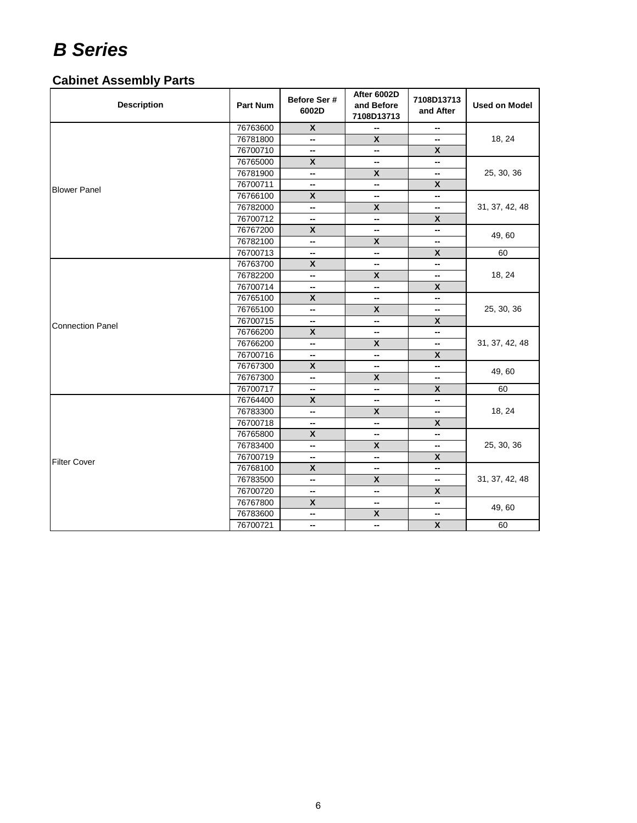### **Cabinet Assembly Parts**

| <b>Description</b>      | <b>Part Num</b> | Before Ser #<br>6002D | After 6002D<br>and Before<br>7108D13713 | 7108D13713<br>and After | <b>Used on Model</b> |
|-------------------------|-----------------|-----------------------|-----------------------------------------|-------------------------|----------------------|
|                         | 76763600        | $\mathsf{x}$          | --                                      | -−                      |                      |
|                         | 76781800        | --                    | $\boldsymbol{x}$                        | --                      | 18, 24               |
|                         | 76700710        | −                     | −                                       | X                       |                      |
|                         | 76765000        | $\mathsf{x}$          | --                                      | --                      |                      |
|                         | 76781900        | --                    | X                                       | --                      | 25, 30, 36           |
| <b>Blower Panel</b>     | 76700711        | --                    | --                                      | X                       |                      |
|                         | 76766100        | $\pmb{\mathsf{x}}$    | −                                       | --                      |                      |
|                         | 76782000        | --                    | $\pmb{\mathsf{X}}$                      | --                      | 31, 37, 42, 48       |
|                         | 76700712        | --                    | --                                      | X                       |                      |
|                         | 76767200        | $\mathbf{x}$          | --                                      | --                      |                      |
|                         | 76782100        | --                    | $\pmb{\mathsf{X}}$                      | --                      | 49,60                |
|                         | 76700713        | --                    | −                                       | X                       | 60                   |
|                         | 76763700        | $\mathsf{x}$          | --                                      | --                      |                      |
|                         | 76782200        | --                    | $\pmb{\mathsf{X}}$                      | --                      | 18, 24               |
|                         | 76700714        | --                    | --                                      | X                       |                      |
|                         | 76765100        | X                     | --                                      | --                      |                      |
|                         | 76765100        | −                     | X                                       | --                      | 25, 30, 36           |
| <b>Connection Panel</b> | 76700715        | −                     | --                                      | X                       |                      |
|                         | 76766200        | X                     | --                                      | −−                      |                      |
|                         | 76766200        | --                    | $\pmb{\mathsf{x}}$                      | --                      | 31, 37, 42, 48       |
|                         | 76700716        | --                    | --                                      | X                       |                      |
|                         | 76767300        | $\pmb{\mathsf{X}}$    | --                                      | −−                      | 49,60                |
|                         | 76767300        | --                    | X                                       | -−                      |                      |
|                         | 76700717        | --                    | --                                      | $\pmb{\mathsf{X}}$      | 60                   |
|                         | 76764400        | $\mathsf{x}$          | --                                      | --                      |                      |
|                         | 76783300        | --                    | $\pmb{\mathsf{x}}$                      | --                      | 18, 24               |
|                         | 76700718        | --                    | --                                      | X                       |                      |
|                         | 76765800        | X                     | --                                      | --                      |                      |
|                         | 76783400        | --                    | X                                       | --                      | 25, 30, 36           |
| <b>Filter Cover</b>     | 76700719        | --                    | --                                      | X                       |                      |
|                         | 76768100        | $\pmb{\mathsf{X}}$    | --                                      | --                      |                      |
|                         | 76783500        | −                     | X                                       | −−                      | 31, 37, 42, 48       |
|                         | 76700720        | --                    | --                                      | $\mathsf{x}$            |                      |
|                         | 76767800        | X                     | --                                      | --                      |                      |
|                         | 76783600        | --                    | $\pmb{\mathsf{X}}$                      | --                      | 49,60                |
|                         | 76700721        | --                    | --                                      | $\pmb{\mathsf{X}}$      | 60                   |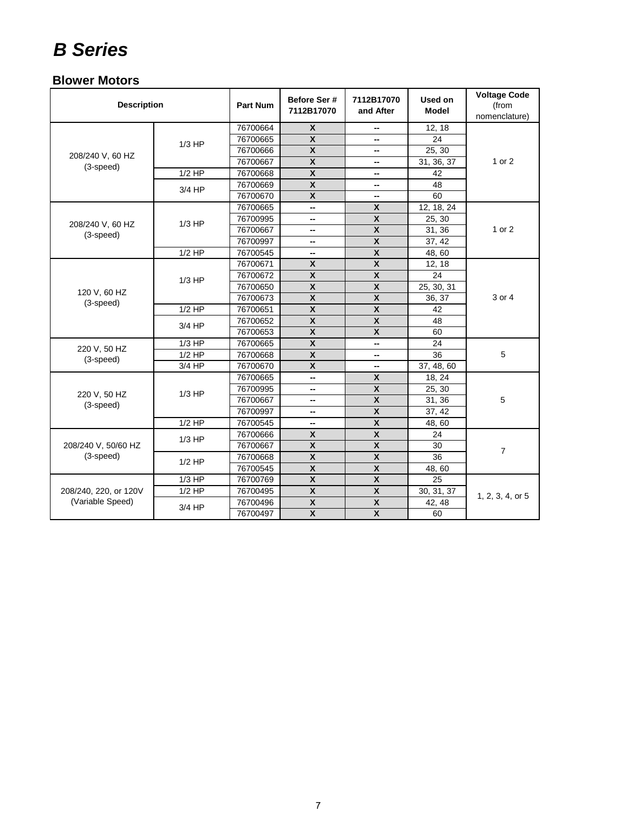#### **Blower Motors**

| <b>Description</b>              |          | <b>Part Num</b> | Before Ser #<br>7112B17070 | 7112B17070<br>and After   | Used on<br>Model | <b>Voltage Code</b><br>(from<br>nomenclature) |
|---------------------------------|----------|-----------------|----------------------------|---------------------------|------------------|-----------------------------------------------|
|                                 |          | 76700664        | $\overline{\mathbf{x}}$    | --                        | 12, 18           |                                               |
|                                 | $1/3$ HP | 76700665        | $\mathbf{x}$               |                           | 24               |                                               |
| 208/240 V, 60 HZ                |          | 76700666        | $\mathbf{x}$               | --                        | 25, 30           |                                               |
| (3-speed)                       |          | 76700667        | $\mathbf{x}$               | --                        | 31, 36, 37       | 1 or 2                                        |
|                                 | $1/2$ HP | 76700668        | $\boldsymbol{\mathsf{x}}$  | --                        | 42               |                                               |
|                                 | $3/4$ HP | 76700669        | $\mathbf{x}$               | -−                        | 48               |                                               |
|                                 |          | 76700670        | $\mathbf{x}$               | -−                        | 60               |                                               |
|                                 |          | 76700665        | -−                         | $\mathsf{x}$              | 12, 18, 24       |                                               |
|                                 | $1/3$ HP | 76700995        | -−                         | $\boldsymbol{\mathsf{x}}$ | 25, 30           |                                               |
| 208/240 V, 60 HZ<br>$(3-speed)$ |          | 76700667        | --                         | $\boldsymbol{\mathsf{x}}$ | 31, 36           | 1 or 2                                        |
|                                 |          | 76700997        | −−                         | $\pmb{\chi}$              | 37, 42           |                                               |
|                                 | $1/2$ HP | 76700545        | --                         | $\overline{\mathbf{x}}$   | 48,60            |                                               |
|                                 |          | 76700671        | $\mathsf{x}$               | $\pmb{\mathsf{X}}$        | 12, 18           |                                               |
|                                 | $1/3$ HP | 76700672        | $\pmb{\mathsf{X}}$         | $\boldsymbol{x}$          | 24               |                                               |
|                                 |          | 76700650        | $\mathbf{x}$               | $\mathsf{x}$              | 25, 30, 31       |                                               |
| 120 V, 60 HZ<br>$(3-speed)$     |          | 76700673        | $\pmb{\mathsf{X}}$         | $\pmb{\chi}$              | 36, 37           | 3 or 4                                        |
|                                 | $1/2$ HP | 76700651        | $\pmb{\mathsf{X}}$         | $\pmb{\chi}$              | 42               |                                               |
|                                 | 3/4 HP   | 76700652        | $\mathsf{x}$               | $\mathsf{x}$              | 48               |                                               |
|                                 |          | 76700653        | X                          | X                         | 60               |                                               |
| 220 V, 50 HZ                    | $1/3$ HP | 76700665        | X                          | --                        | 24               |                                               |
| (3-speed)                       | $1/2$ HP | 76700668        | $\pmb{\mathsf{x}}$         | -−                        | 36               | 5                                             |
|                                 | $3/4$ HP | 76700670        | $\boldsymbol{x}$           | -−                        | 37, 48, 60       |                                               |
|                                 |          | 76700665        | --                         | $\mathsf{x}$              | 18, 24           |                                               |
| 220 V, 50 HZ                    | $1/3$ HP | 76700995        | --                         | $\pmb{\mathsf{X}}$        | 25, 30           |                                               |
| $(3-speed)$                     |          | 76700667        | --                         | $\mathsf{x}$              | 31, 36           | 5                                             |
|                                 |          | 76700997        | --                         | $\pmb{\mathsf{X}}$        | 37, 42           |                                               |
|                                 | $1/2$ HP | 76700545        | --                         | $\mathsf{x}$              | 48,60            |                                               |
|                                 | $1/3$ HP | 76700666        | X                          | $\pmb{\chi}$              | 24               |                                               |
| 208/240 V, 50/60 HZ             |          | 76700667        | $\pmb{\mathsf{X}}$         | $\boldsymbol{x}$          | 30               | $\overline{7}$                                |
| $(3-speed)$                     | $1/2$ HP | 76700668        | $\pmb{\mathsf{X}}$         | $\boldsymbol{x}$          | 36               |                                               |
|                                 |          | 76700545        | $\mathbf{x}$               | $\boldsymbol{\mathsf{x}}$ | 48,60            |                                               |
|                                 | $1/3$ HP | 76700769        | $\overline{\mathbf{x}}$    | $\overline{\mathbf{x}}$   | 25               |                                               |
| 208/240, 220, or 120V           | $1/2$ HP | 76700495        | $\overline{\mathbf{x}}$    | $\overline{\mathbf{x}}$   | 30, 31, 37       | 1, 2, 3, 4, or 5                              |
| (Variable Speed)                |          | 76700496        | $\boldsymbol{x}$           | $\boldsymbol{x}$          | 42, 48           |                                               |
|                                 | $3/4$ HP | 76700497        | $\mathsf{x}$               | $\mathsf{x}$              | 60               |                                               |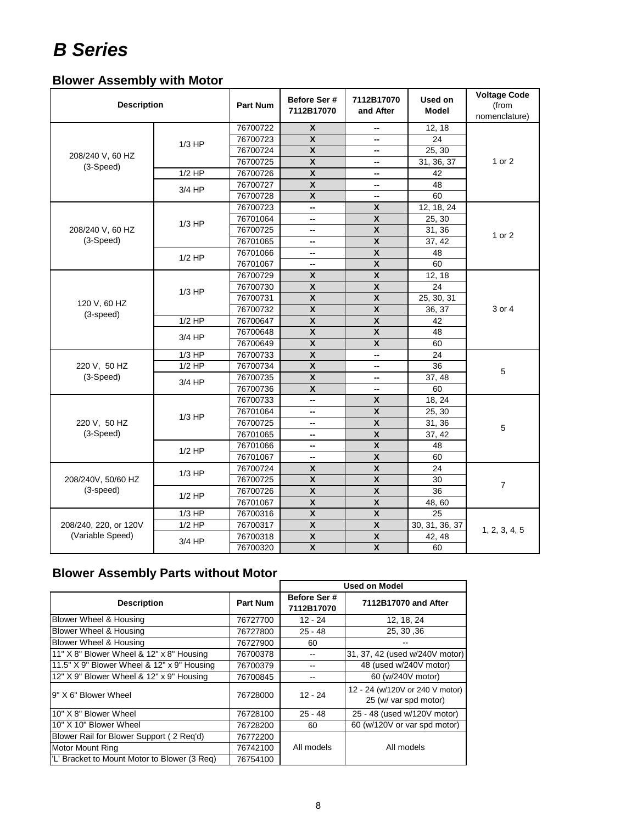### **Blower Assembly with Motor**

| <b>Description</b>              |          | <b>Part Num</b> | Before Ser #<br>7112B17070 | 7112B17070<br>and After   | Used on<br><b>Model</b> | <b>Voltage Code</b><br>(from<br>nomenclature) |
|---------------------------------|----------|-----------------|----------------------------|---------------------------|-------------------------|-----------------------------------------------|
|                                 |          | 76700722        | $\mathbf{x}$               | --                        | 12, 18                  |                                               |
|                                 | $1/3$ HP | 76700723        | $\mathbf{x}$               | --                        | 24                      |                                               |
| 208/240 V, 60 HZ                |          | 76700724        | $\boldsymbol{\mathsf{x}}$  | --                        | 25, 30                  |                                               |
| (3-Speed)                       |          | 76700725        | $\pmb{\mathsf{X}}$         | --                        | 31, 36, 37              | 1 or 2                                        |
|                                 | $1/2$ HP | 76700726        | $\overline{\mathbf{x}}$    | --                        | 42                      |                                               |
|                                 | $3/4$ HP | 76700727        | $\boldsymbol{\mathsf{x}}$  | --                        | 48                      |                                               |
|                                 |          | 76700728        | X                          | --                        | 60                      |                                               |
|                                 |          | 76700723        | --                         | $\mathsf{x}$              | 12, 18, 24              |                                               |
|                                 | $1/3$ HP | 76701064        | --                         | X                         | 25, 30                  |                                               |
| 208/240 V, 60 HZ                |          | 76700725        | --                         | $\boldsymbol{\mathsf{x}}$ | 31, 36                  | 1 or 2                                        |
| (3-Speed)                       |          | 76701065        | --                         | $\overline{\mathbf{X}}$   | 37, 42                  |                                               |
|                                 | $1/2$ HP | 76701066        | --                         | $\pmb{\chi}$              | 48                      |                                               |
|                                 |          | 76701067        | --                         | $\pmb{\mathsf{x}}$        | 60                      |                                               |
|                                 |          | 76700729        | $\pmb{\mathsf{x}}$         | $\overline{\mathbf{x}}$   | 12, 18                  |                                               |
|                                 | $1/3$ HP | 76700730        | $\overline{\textbf{X}}$    | $\overline{\mathbf{X}}$   | 24                      |                                               |
|                                 |          | 76700731        | $\boldsymbol{\mathsf{x}}$  | $\boldsymbol{x}$          | 25, 30, 31              |                                               |
| 120 V, 60 HZ<br>(3-speed)       |          | 76700732        | $\pmb{\mathsf{X}}$         | $\overline{\mathbf{x}}$   | 36, 37                  | 3 or 4                                        |
|                                 | $1/2$ HP | 76700647        | $\mathbf{x}$               | $\boldsymbol{x}$          | 42                      |                                               |
|                                 | $3/4$ HP | 76700648        | $\boldsymbol{\mathsf{x}}$  | $\boldsymbol{\mathsf{x}}$ | 48                      |                                               |
|                                 |          | 76700649        | $\pmb{\mathsf{X}}$         | $\pmb{\mathsf{X}}$        | 60                      |                                               |
|                                 | $1/3$ HP | 76700733        | $\overline{\mathbf{x}}$    | u.                        | 24                      |                                               |
| 220 V, 50 HZ                    | $1/2$ HP | 76700734        | $\overline{\mathbf{x}}$    | --                        | 36                      | 5                                             |
| (3-Speed)                       | 3/4 HP   | 76700735        | $\mathbf{x}$               | --                        | 37, 48                  |                                               |
|                                 |          | 76700736        | $\boldsymbol{\mathsf{x}}$  | --                        | 60                      |                                               |
|                                 |          | 76700733        | --                         | $\mathsf{x}$              | 18, 24                  |                                               |
|                                 | $1/3$ HP | 76701064        | --                         | $\pmb{\chi}$              | 25, 30                  |                                               |
| 220 V, 50 HZ                    |          | 76700725        | --                         | $\pmb{\chi}$              | 31, 36                  | 5                                             |
| (3-Speed)                       |          | 76701065        | --                         | $\pmb{\mathsf{x}}$        | 37, 42                  |                                               |
|                                 | $1/2$ HP | 76701066        | --                         | $\boldsymbol{\mathsf{x}}$ | 48                      |                                               |
|                                 |          | 76701067        | --                         | $\boldsymbol{x}$          | 60                      |                                               |
|                                 | $1/3$ HP | 76700724        | $\pmb{\mathsf{X}}$         | $\pmb{\chi}$              | 24                      |                                               |
| 208/240V, 50/60 HZ<br>(3-speed) |          | 76700725        | $\boldsymbol{\mathsf{x}}$  | $\pmb{\mathsf{X}}$        | 30                      | $\overline{7}$                                |
|                                 | $1/2$ HP | 76700726        | $\mathsf{x}$               | $\overline{\mathbf{x}}$   | 36                      |                                               |
|                                 |          | 76701067        | $\pmb{\chi}$               | $\overline{\mathbf{x}}$   | 48,60                   |                                               |
|                                 | $1/3$ HP | 76700316        | $\pmb{\mathsf{X}}$         | $\overline{\mathbf{X}}$   | 25                      |                                               |
| 208/240, 220, or 120V           | $1/2$ HP | 76700317        | $\pmb{\mathsf{X}}$         | $\pmb{\chi}$              | 30, 31, 36, 37          | 1, 2, 3, 4, 5                                 |
| (Variable Speed)                | $3/4$ HP | 76700318        | $\pmb{\mathsf{X}}$         | $\pmb{\mathsf{X}}$        | 42, 48                  |                                               |
|                                 |          | 76700320        | $\overline{\mathbf{X}}$    | $\overline{\mathbf{X}}$   | 60                      |                                               |

### **Blower Assembly Parts without Motor**

|                                              |                 | <b>Used on Model</b>       |                                                          |  |  |
|----------------------------------------------|-----------------|----------------------------|----------------------------------------------------------|--|--|
| <b>Description</b>                           | <b>Part Num</b> | Before Ser #<br>7112B17070 | 7112B17070 and After                                     |  |  |
| Blower Wheel & Housing                       | 76727700        | $12 - 24$                  | 12, 18, 24                                               |  |  |
| Blower Wheel & Housing                       | 76727800        | $25 - 48$                  | 25, 30, 36                                               |  |  |
| Blower Wheel & Housing                       | 76727900        | 60                         |                                                          |  |  |
| 11" X 8" Blower Wheel & 12" x 8" Housing     | 76700378        |                            | 31, 37, 42 (used w/240V motor)                           |  |  |
| 11.5" X 9" Blower Wheel & 12" x 9" Housing   | 76700379        |                            | 48 (used w/240V motor)                                   |  |  |
| 12" X 9" Blower Wheel & 12" x 9" Housing     | 76700845        |                            | 60 (w/240V motor)                                        |  |  |
| 9" X 6" Blower Wheel                         | 76728000        | $12 - 24$                  | 12 - 24 (w/120V or 240 V motor)<br>25 (w/ var spd motor) |  |  |
| 10" X 8" Blower Wheel                        | 76728100        | $25 - 48$                  | 25 - 48 (used w/120V motor)                              |  |  |
| 10" X 10" Blower Wheel                       | 76728200        | 60                         | 60 (w/120V or var spd motor)                             |  |  |
| Blower Rail for Blower Support (2 Reg'd)     | 76772200        |                            |                                                          |  |  |
| <b>Motor Mount Ring</b>                      | 76742100        | All models                 | All models                                               |  |  |
| 'L' Bracket to Mount Motor to Blower (3 Req) | 76754100        |                            |                                                          |  |  |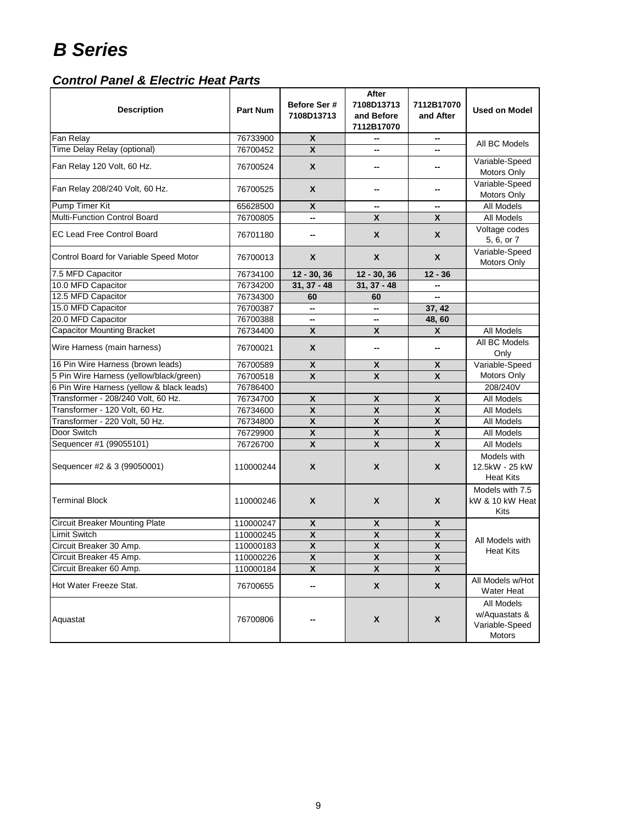| <b>Description</b>                        | <b>Part Num</b> | Before Ser #<br>7108D13713 | After<br>7108D13713<br>and Before<br>7112B17070 | 7112B17070<br>and After   | <b>Used on Model</b>                                    |
|-------------------------------------------|-----------------|----------------------------|-------------------------------------------------|---------------------------|---------------------------------------------------------|
| Fan Relay                                 | 76733900        | X                          | --                                              | $\overline{\phantom{a}}$  | All BC Models                                           |
| Time Delay Relay (optional)               | 76700452        | $\mathbf{x}$               | --                                              |                           |                                                         |
| Fan Relay 120 Volt, 60 Hz.                | 76700524        | X                          |                                                 |                           | Variable-Speed<br>Motors Only                           |
| Fan Relay 208/240 Volt, 60 Hz.            | 76700525        | X                          |                                                 |                           | Variable-Speed<br>Motors Only                           |
| <b>Pump Timer Kit</b>                     | 65628500        | X                          | --                                              | --                        | All Models                                              |
| <b>Multi-Function Control Board</b>       | 76700805        |                            | X                                               | X                         | All Models                                              |
| <b>EC Lead Free Control Board</b>         | 76701180        | --                         | X                                               | X                         | Voltage codes<br>5, 6, or 7                             |
| Control Board for Variable Speed Motor    | 76700013        | X                          | X                                               | X                         | Variable-Speed<br>Motors Only                           |
| 7.5 MFD Capacitor                         | 76734100        | 12 - 30, 36                | $12 - 30, 36$                                   | $12 - 36$                 |                                                         |
| 10.0 MFD Capacitor                        | 76734200        | $31, 37 - 48$              | $31, 37 - 48$                                   |                           |                                                         |
| 12.5 MFD Capacitor                        | 76734300        | 60                         | 60                                              | --                        |                                                         |
| 15.0 MFD Capacitor                        | 76700387        | ⊷                          | -−                                              | 37, 42                    |                                                         |
| 20.0 MFD Capacitor                        | 76700388        | --                         |                                                 | 48,60                     |                                                         |
| <b>Capacitor Mounting Bracket</b>         | 76734400        | $\boldsymbol{\mathsf{x}}$  | $\boldsymbol{\mathsf{X}}$                       | X                         | All Models                                              |
| Wire Harness (main harness)               | 76700021        | X                          | --                                              |                           | All BC Models<br>Only                                   |
| 16 Pin Wire Harness (brown leads)         | 76700589        | X                          | X                                               | X                         | Variable-Speed                                          |
| 5 Pin Wire Harness (yellow/black/green)   | 76700518        | $\boldsymbol{\mathsf{x}}$  | $\pmb{\mathsf{X}}$                              | $\boldsymbol{\mathsf{x}}$ | Motors Only                                             |
| 6 Pin Wire Harness (yellow & black leads) | 76786400        |                            |                                                 |                           | 208/240V                                                |
| Transformer - 208/240 Volt, 60 Hz.        | 76734700        | $\pmb{\mathsf{X}}$         | $\pmb{\mathsf{X}}$                              | $\pmb{\mathsf{X}}$        | All Models                                              |
| Transformer - 120 Volt, 60 Hz.            | 76734600        | $\boldsymbol{\mathsf{x}}$  | $\boldsymbol{\mathsf{X}}$                       | $\boldsymbol{\mathsf{x}}$ | All Models                                              |
| Transformer - 220 Volt, 50 Hz.            | 76734800        | X                          | $\boldsymbol{\mathsf{x}}$                       | $\boldsymbol{\mathsf{x}}$ | All Models                                              |
| Door Switch                               | 76729900        | X                          | $\pmb{\mathsf{X}}$                              | $\mathsf{x}$              | All Models                                              |
| Sequencer #1 (99055101)                   | 76726700        | $\boldsymbol{\mathsf{x}}$  | $\boldsymbol{\mathsf{x}}$                       | $\overline{\mathbf{x}}$   | All Models                                              |
| Sequencer #2 & 3 (99050001)               | 110000244       | X                          | X                                               | X                         | Models with<br>12.5kW - 25 kW<br><b>Heat Kits</b>       |
| <b>Terminal Block</b>                     | 110000246       | X                          | X                                               | X                         | Models with 7.5<br>kW & 10 kW Heat<br>Kits              |
| <b>Circuit Breaker Mounting Plate</b>     | 110000247       | $\pmb{\mathsf{X}}$         | $\pmb{\mathsf{X}}$                              | X                         |                                                         |
| Limit Switch                              | 110000245       | $\pmb{\mathsf{X}}$         | $\pmb{\mathsf{X}}$                              | $\pmb{\mathsf{X}}$        | All Models with                                         |
| Circuit Breaker 30 Amp.                   | 110000183       | $\boldsymbol{\mathsf{x}}$  | $\boldsymbol{x}$                                | $\boldsymbol{\mathsf{x}}$ | Heat Kits                                               |
| Circuit Breaker 45 Amp.                   | 110000226       | Χ                          | Χ                                               | X                         |                                                         |
| Circuit Breaker 60 Amp.                   | 110000184       | $\pmb{\mathsf{X}}$         | $\pmb{\mathsf{X}}$                              | $\overline{\mathbf{X}}$   |                                                         |
| Hot Water Freeze Stat.                    | 76700655        | --                         | $\pmb{\mathsf{X}}$                              | $\pmb{\mathsf{X}}$        | All Models w/Hot<br><b>Water Heat</b>                   |
| Aquastat                                  | 76700806        |                            | $\pmb{\mathsf{X}}$                              | $\pmb{\mathsf{X}}$        | All Models<br>w/Aquastats &<br>Variable-Speed<br>Motors |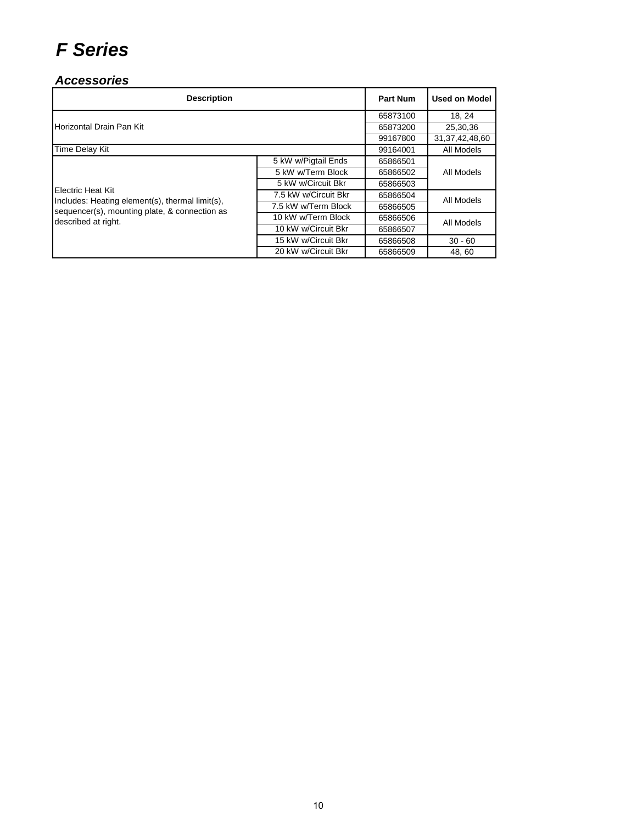#### *Accessories*

| <b>Description</b>                                                   | <b>Part Num</b>                  | <b>Used on Model</b> |                    |  |
|----------------------------------------------------------------------|----------------------------------|----------------------|--------------------|--|
|                                                                      |                                  | 65873100             | 18.24              |  |
| Horizontal Drain Pan Kit                                             |                                  | 65873200             | 25,30,36           |  |
|                                                                      |                                  | 99167800             | 31, 37, 42, 48, 60 |  |
| Time Delay Kit                                                       |                                  | 99164001             | All Models         |  |
|                                                                      | 5 kW w/Pigtail Ends              | 65866501             |                    |  |
|                                                                      | 5 kW w/Term Block                | 65866502             | All Models         |  |
|                                                                      | 5 kW w/Circuit Bkr               | 65866503             |                    |  |
| Electric Heat Kit<br>Includes: Heating element(s), thermal limit(s), | 7.5 kW w/Circuit Bkr<br>65866504 |                      | All Models         |  |
| sequencer(s), mounting plate, & connection as                        | 7.5 kW w/Term Block              | 65866505             |                    |  |
| described at right.                                                  | 10 kW w/Term Block               | 65866506             | All Models         |  |
|                                                                      | 10 kW w/Circuit Bkr              | 65866507             |                    |  |
|                                                                      | 15 kW w/Circuit Bkr              | 65866508             | $30 - 60$          |  |
|                                                                      | 20 kW w/Circuit Bkr              | 65866509             | 48.60              |  |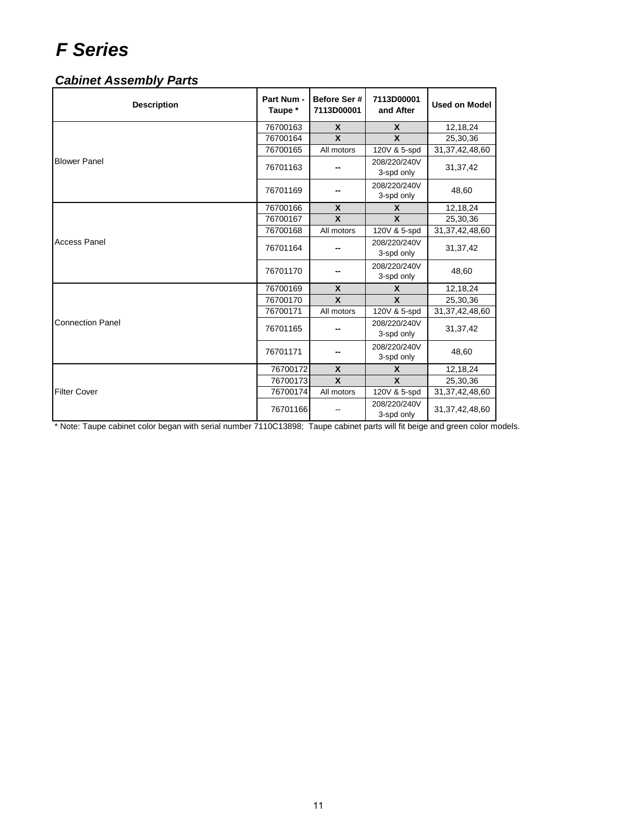### *Cabinet Assembly Parts*

| <b>Description</b>      | Part Num -<br>Taupe * | Before Ser#<br>7113D00001 | 7113D00001<br>and After    | <b>Used on Model</b> |
|-------------------------|-----------------------|---------------------------|----------------------------|----------------------|
|                         | 76700163              | $\boldsymbol{\mathsf{x}}$ | $\boldsymbol{x}$           | 12,18,24             |
|                         | 76700164              | X                         | $\boldsymbol{x}$           | 25,30,36             |
|                         | 76700165              | All motors                | 120V & 5-spd               | 31, 37, 42, 48, 60   |
| <b>Blower Panel</b>     | 76701163              |                           | 208/220/240V<br>3-spd only | 31,37,42             |
|                         | 76701169              |                           | 208/220/240V<br>3-spd only | 48,60                |
|                         | 76700166              | $\boldsymbol{\mathsf{x}}$ | $\mathbf x$                | 12,18,24             |
|                         | 76700167              | X                         | X                          | 25,30,36             |
| <b>Access Panel</b>     | 76700168              | All motors                | 120V & 5-spd               | 31, 37, 42, 48, 60   |
|                         | 76701164              |                           | 208/220/240V<br>3-spd only | 31,37,42             |
|                         | 76701170              |                           | 208/220/240V<br>3-spd only | 48,60                |
|                         | 76700169              | $\boldsymbol{\mathsf{x}}$ | $\mathbf x$                | 12,18,24             |
|                         | 76700170              | X                         | X                          | 25,30,36             |
|                         | 76700171              | All motors                | 120V & 5-spd               | 31, 37, 42, 48, 60   |
| <b>Connection Panel</b> | 76701165              |                           | 208/220/240V<br>3-spd only | 31, 37, 42           |
|                         | 76701171              |                           | 208/220/240V<br>3-spd only | 48,60                |
|                         | 76700172              | X                         | X                          | 12,18,24             |
|                         | 76700173              | $\mathbf{x}$              | X                          | 25,30,36             |
| <b>Filter Cover</b>     | 76700174              | All motors                | 120V & 5-spd               | 31, 37, 42, 48, 60   |
|                         | 76701166              |                           | 208/220/240V<br>3-spd only | 31, 37, 42, 48, 60   |

\* Note: Taupe cabinet color began with serial number 7110C13898; Taupe cabinet parts will fit beige and green color models.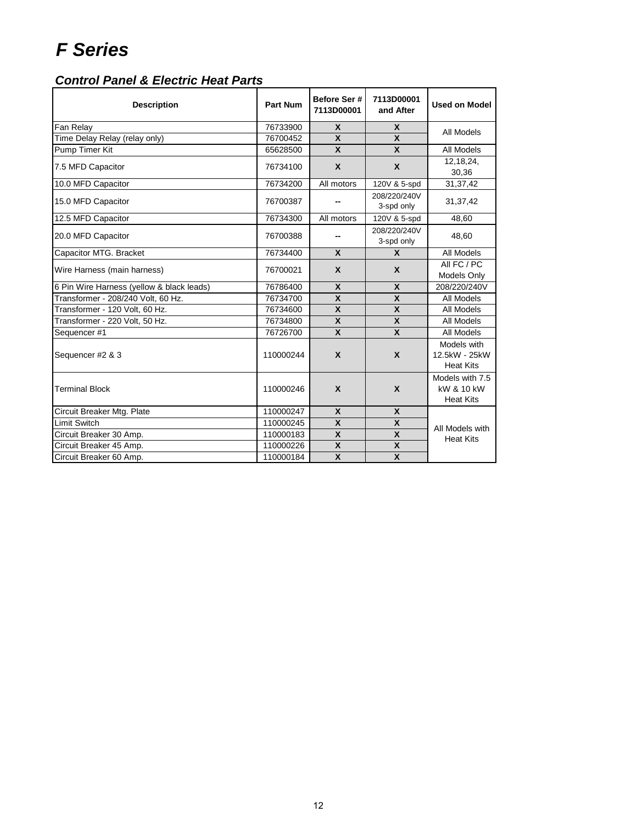| <b>Description</b>                        | <b>Part Num</b> | Before Ser #<br>7113D00001 | 7113D00001<br>and After    | <b>Used on Model</b>                              |
|-------------------------------------------|-----------------|----------------------------|----------------------------|---------------------------------------------------|
| Fan Relay                                 | 76733900        | $\mathbf{x}$               | X                          | All Models                                        |
| Time Delay Relay (relay only)             | 76700452        | $\mathbf{x}$               | $\mathbf{x}$               |                                                   |
| Pump Timer Kit                            | 65628500        | $\mathbf{x}$               | $\mathbf{x}$               | All Models                                        |
| 7.5 MFD Capacitor                         | 76734100        | X                          | X                          | 12,18,24,<br>30,36                                |
| 10.0 MFD Capacitor                        | 76734200        | All motors                 | 120V & 5-spd               | 31,37,42                                          |
| 15.0 MFD Capacitor                        | 76700387        |                            | 208/220/240V<br>3-spd only | 31,37,42                                          |
| 12.5 MFD Capacitor                        | 76734300        | All motors                 | 120V & 5-spd               | 48,60                                             |
| 20.0 MFD Capacitor                        | 76700388        |                            | 208/220/240V<br>3-spd only | 48,60                                             |
| Capacitor MTG. Bracket                    | 76734400        | X                          | $\mathbf{x}$               | All Models                                        |
| Wire Harness (main harness)               | 76700021        | X                          | $\mathbf x$                | All FC / PC<br>Models Only                        |
| 6 Pin Wire Harness (yellow & black leads) | 76786400        | X                          | $\mathsf{x}$               | 208/220/240V                                      |
| Transformer - 208/240 Volt, 60 Hz.        | 76734700        | $\mathbf{x}$               | $\mathbf x$                | All Models                                        |
| Transformer - 120 Volt, 60 Hz.            | 76734600        | X                          | X                          | All Models                                        |
| Transformer - 220 Volt, 50 Hz.            | 76734800        | X                          | $\boldsymbol{\mathsf{X}}$  | All Models                                        |
| Sequencer #1                              | 76726700        | $\mathbf{x}$               | $\mathbf{x}$               | All Models                                        |
| Sequencer #2 & 3                          | 110000244       | $\boldsymbol{x}$           | $\mathbf{x}$               | Models with<br>12.5kW - 25kW<br><b>Heat Kits</b>  |
| <b>Terminal Block</b>                     | 110000246       | $\boldsymbol{x}$           | X                          | Models with 7.5<br>kW & 10 kW<br><b>Heat Kits</b> |
| Circuit Breaker Mtg. Plate                | 110000247       | X                          | $\mathsf{x}$               |                                                   |
| Limit Switch                              | 110000245       | X                          | $\mathbf x$                | All Models with                                   |
| Circuit Breaker 30 Amp.                   | 110000183       | X                          | $\boldsymbol{\mathsf{X}}$  | <b>Heat Kits</b>                                  |
| Circuit Breaker 45 Amp.                   | 110000226       | X                          | $\mathbf{x}$               |                                                   |
| Circuit Breaker 60 Amp.                   | 110000184       | X                          | X                          |                                                   |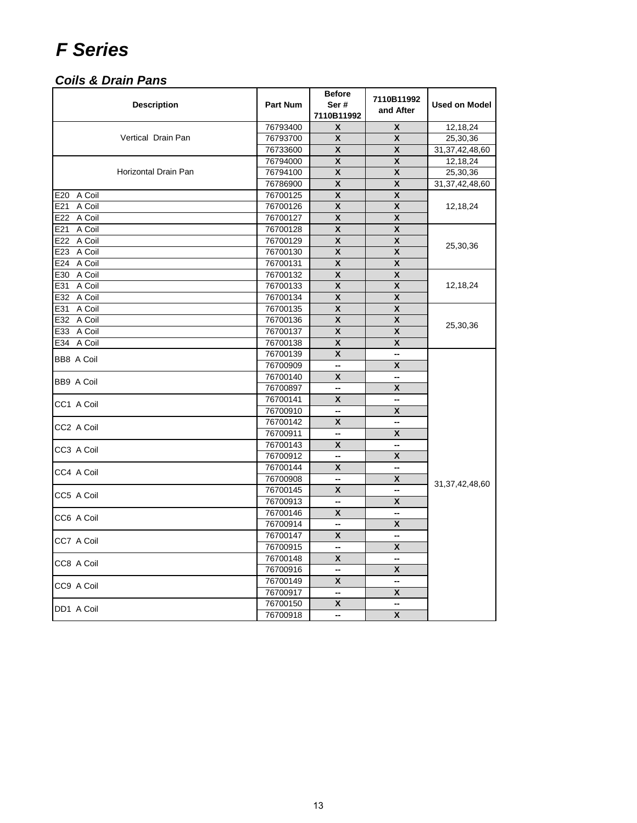### *Coils & Drain Pans*

| <b>Description</b>   | <b>Part Num</b> | <b>Before</b><br>Ser#<br>7110B11992 | 7110B11992<br>and After   | <b>Used on Model</b> |
|----------------------|-----------------|-------------------------------------|---------------------------|----------------------|
|                      | 76793400        | X                                   | X                         | 12,18,24             |
| Vertical Drain Pan   | 76793700        | X                                   | X                         | 25,30,36             |
|                      | 76733600        | X                                   | X                         | 31, 37, 42, 48, 60   |
|                      | 76794000        | X                                   | X                         | 12,18,24             |
| Horizontal Drain Pan | 76794100        | X                                   | X                         | 25,30,36             |
|                      | 76786900        | X                                   | $\boldsymbol{\mathsf{x}}$ | 31, 37, 42, 48, 60   |
| E20 A Coil           | 76700125        | X                                   | X                         |                      |
| E21 A Coil           | 76700126        | X                                   | X                         | 12,18,24             |
| E22 A Coil           | 76700127        | X                                   | X                         |                      |
| E21 A Coil           | 76700128        | $\overline{\mathbf{x}}$             | $\overline{\mathbf{X}}$   |                      |
| E22 A Coil           | 76700129        | X                                   | X                         | 25,30,36             |
| E23 A Coil           | 76700130        | X                                   | X                         |                      |
| E24 A Coil           | 76700131        | X                                   | X                         |                      |
| E30 A Coil           | 76700132        | X                                   | X                         |                      |
| E31 A Coil           | 76700133        | X                                   | X                         | 12,18,24             |
| E32 A Coil           | 76700134        | χ                                   | X                         |                      |
| E31 A Coil           | 76700135        | X                                   | X                         |                      |
| E32 A Coil           | 76700136        | X                                   | X                         |                      |
| E33 A Coil           | 76700137        | X                                   | X                         | 25,30,36             |
| E34 A Coil           | 76700138        | X                                   | X                         |                      |
|                      | 76700139        | X                                   | --                        |                      |
| <b>BB8 A Coil</b>    | 76700909        | $\overline{\phantom{a}}$            | X                         |                      |
|                      | 76700140        | X                                   | --                        |                      |
| BB9 A Coil           | 76700897        | --                                  | X                         |                      |
|                      | 76700141        | X                                   | Ξ.                        |                      |
| CC1 A Coil           | 76700910        | --                                  | Χ                         |                      |
|                      | 76700142        | X                                   | --                        |                      |
| CC2 A Coil           | 76700911        | --                                  | X                         |                      |
| CC3 A Coil           | 76700143        | X                                   | --                        |                      |
|                      | 76700912        | --                                  | X                         |                      |
| CC4 A Coil           | 76700144        | X                                   | --                        |                      |
|                      | 76700908        | --                                  | Χ                         |                      |
|                      | 76700145        | X                                   | ш,                        | 31, 37, 42, 48, 60   |
| CC5 A Coil           | 76700913        | --                                  | X                         |                      |
|                      | 76700146        | X                                   | ш,                        |                      |
| CC6 A Coil           | 76700914        | --                                  | Χ                         |                      |
|                      | 76700147        | X                                   | --                        |                      |
| CC7 A Coil           | 76700915        | --                                  | X                         |                      |
|                      | 76700148        | X                                   | --                        |                      |
| CC8 A Coil           | 76700916        | $\overline{\phantom{a}}$            | X                         |                      |
|                      | 76700149        | X                                   | --                        |                      |
| CC9 A Coil           | 76700917        | --                                  | X                         |                      |
|                      | 76700150        | X                                   | --                        |                      |
| DD1 A Coil           | 76700918        | --                                  | X                         |                      |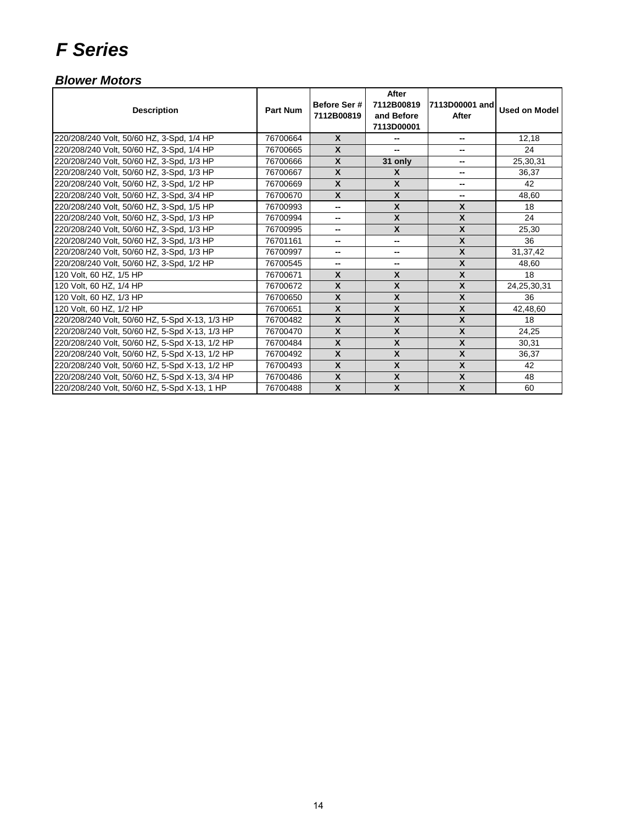#### *Blower Motors*

| <b>Description</b>                             | <b>Part Num</b> | Before Ser #<br>7112B00819 | After<br>7112B00819<br>and Before<br>7113D00001 | 7113D00001 and<br>After | <b>Used on Model</b> |
|------------------------------------------------|-----------------|----------------------------|-------------------------------------------------|-------------------------|----------------------|
| 220/208/240 Volt, 50/60 HZ, 3-Spd, 1/4 HP      | 76700664        | $\mathsf{x}$               | --                                              | --                      | 12,18                |
| 220/208/240 Volt, 50/60 HZ, 3-Spd, 1/4 HP      | 76700665        | $\boldsymbol{x}$           | --                                              |                         | 24                   |
| 220/208/240 Volt, 50/60 HZ, 3-Spd, 1/3 HP      | 76700666        | $\boldsymbol{x}$           | 31 only                                         | --                      | 25,30,31             |
| 220/208/240 Volt, 50/60 HZ, 3-Spd, 1/3 HP      | 76700667        | $\boldsymbol{x}$           | X                                               | --                      | 36,37                |
| 220/208/240 Volt, 50/60 HZ, 3-Spd, 1/2 HP      | 76700669        | $\boldsymbol{x}$           | X                                               | ۰.                      | 42                   |
| 220/208/240 Volt, 50/60 HZ, 3-Spd, 3/4 HP      | 76700670        | $\boldsymbol{x}$           | $\boldsymbol{\mathsf{X}}$                       | --                      | 48,60                |
| 220/208/240 Volt, 50/60 HZ, 3-Spd, 1/5 HP      | 76700993        | --                         | X                                               | X                       | 18                   |
| 220/208/240 Volt, 50/60 HZ, 3-Spd, 1/3 HP      | 76700994        | --                         | X                                               | X                       | 24                   |
| 220/208/240 Volt, 50/60 HZ, 3-Spd, 1/3 HP      | 76700995        | -−                         | X                                               | X                       | 25,30                |
| 220/208/240 Volt, 50/60 HZ, 3-Spd, 1/3 HP      | 76701161        | --                         | --                                              | $\mathsf{x}$            | 36                   |
| 220/208/240 Volt, 50/60 HZ, 3-Spd, 1/3 HP      | 76700997        |                            | --                                              | $\mathbf{x}$            | 31, 37, 42           |
| 220/208/240 Volt, 50/60 HZ, 3-Spd, 1/2 HP      | 76700545        | --                         | --                                              | X                       | 48,60                |
| 120 Volt, 60 HZ, 1/5 HP                        | 76700671        | $\mathbf{x}$               | X                                               | X                       | 18                   |
| 120 Volt, 60 HZ, 1/4 HP                        | 76700672        | $\boldsymbol{x}$           | $\boldsymbol{\mathsf{x}}$                       | $\boldsymbol{x}$        | 24,25,30,31          |
| 120 Volt, 60 HZ, 1/3 HP                        | 76700650        | $\boldsymbol{\mathsf{x}}$  | $\boldsymbol{x}$                                | $\pmb{\mathsf{X}}$      | 36                   |
| 120 Volt, 60 HZ, 1/2 HP                        | 76700651        | $\boldsymbol{x}$           | $\mathbf{x}$                                    | $\mathsf{x}$            | 42,48,60             |
| 220/208/240 Volt, 50/60 HZ, 5-Spd X-13, 1/3 HP | 76700482        | $\mathsf{x}$               | X                                               | X                       | 18                   |
| 220/208/240 Volt, 50/60 HZ, 5-Spd X-13, 1/3 HP | 76700470        | $\boldsymbol{x}$           | X                                               | X                       | 24,25                |
| 220/208/240 Volt, 50/60 HZ, 5-Spd X-13, 1/2 HP | 76700484        | $\boldsymbol{x}$           | X                                               | X                       | 30,31                |
| 220/208/240 Volt, 50/60 HZ, 5-Spd X-13, 1/2 HP | 76700492        | $\boldsymbol{x}$           | $\boldsymbol{\mathsf{x}}$                       | $\boldsymbol{x}$        | 36,37                |
| 220/208/240 Volt, 50/60 HZ, 5-Spd X-13, 1/2 HP | 76700493        | $\boldsymbol{x}$           | X                                               | X                       | 42                   |
| 220/208/240 Volt, 50/60 HZ, 5-Spd X-13, 3/4 HP | 76700486        | $\boldsymbol{x}$           | X                                               | X                       | 48                   |
| 220/208/240 Volt, 50/60 HZ, 5-Spd X-13, 1 HP   | 76700488        | $\pmb{\chi}$               | $\boldsymbol{\mathsf{X}}$                       | $\mathsf{x}$            | 60                   |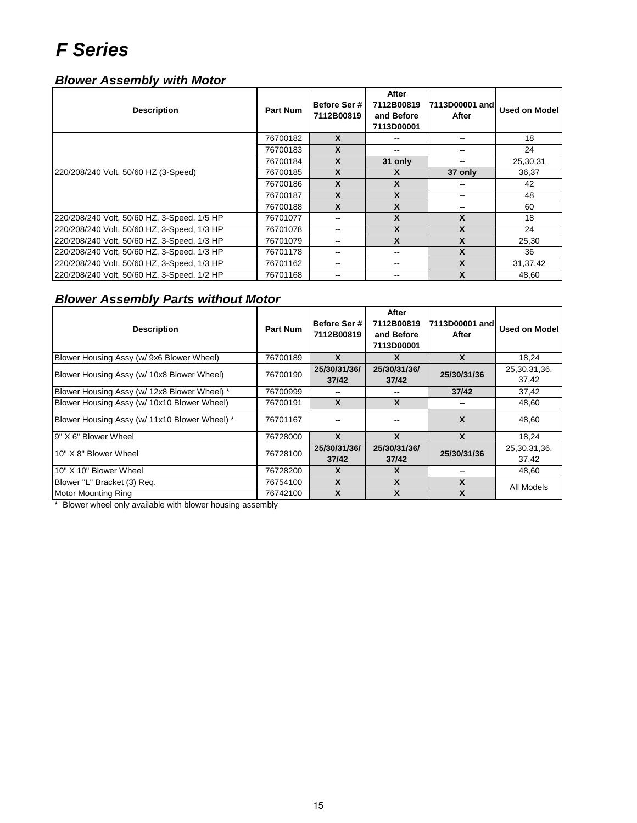#### *Blower Assembly with Motor*

| <b>Description</b>                          | <b>Part Num</b> | Before Ser #<br>7112B00819 | After<br>7112B00819<br>and Before<br>7113D00001 | 7113D00001 and<br>After | Used on Model |
|---------------------------------------------|-----------------|----------------------------|-------------------------------------------------|-------------------------|---------------|
|                                             | 76700182        | X                          | --                                              |                         | 18            |
|                                             | 76700183        | X                          | --                                              | --                      | 24            |
|                                             | 76700184        | $\boldsymbol{x}$           | 31 only                                         |                         | 25,30,31      |
| 220/208/240 Volt, 50/60 HZ (3-Speed)        | 76700185        | X                          | X                                               | 37 only                 | 36,37         |
|                                             | 76700186        | X                          | X                                               |                         | 42            |
|                                             | 76700187        | X                          | X                                               | --                      | 48            |
|                                             | 76700188        | $\boldsymbol{x}$           | X                                               |                         | 60            |
| 220/208/240 Volt, 50/60 HZ, 3-Speed, 1/5 HP | 76701077        |                            | X                                               | X                       | 18            |
| 220/208/240 Volt, 50/60 HZ, 3-Speed, 1/3 HP | 76701078        |                            | X                                               | X                       | 24            |
| 220/208/240 Volt, 50/60 HZ, 3-Speed, 1/3 HP | 76701079        |                            | X                                               | X                       | 25,30         |
| 220/208/240 Volt, 50/60 HZ, 3-Speed, 1/3 HP | 76701178        |                            | $\overline{\phantom{a}}$                        | X                       | 36            |
| 220/208/240 Volt, 50/60 HZ, 3-Speed, 1/3 HP | 76701162        |                            | $\overline{\phantom{a}}$                        | X                       | 31, 37, 42    |
| 220/208/240 Volt, 50/60 HZ, 3-Speed, 1/2 HP | 76701168        |                            | --                                              | X                       | 48.60         |

#### *Blower Assembly Parts without Motor*

| <b>Description</b>                            | <b>Part Num</b> | Before Ser #<br>7112B00819 | After<br>7112B00819<br>and Before<br>7113D00001 | 7113D00001 and<br>After | Used on Model            |
|-----------------------------------------------|-----------------|----------------------------|-------------------------------------------------|-------------------------|--------------------------|
| Blower Housing Assy (w/ 9x6 Blower Wheel)     | 76700189        | X                          | X                                               | X                       | 18.24                    |
| Blower Housing Assy (w/ 10x8 Blower Wheel)    | 76700190        | 25/30/31/36/<br>37/42      | 25/30/31/36/<br>37/42                           | 25/30/31/36             | 25,30,31,36,<br>37,42    |
| Blower Housing Assy (w/ 12x8 Blower Wheel) *  | 76700999        |                            | --                                              | 37/42                   | 37,42                    |
| Blower Housing Assy (w/ 10x10 Blower Wheel)   | 76700191        | X                          | X                                               |                         | 48,60                    |
| Blower Housing Assy (w/ 11x10 Blower Wheel) * | 76701167        |                            |                                                 | X                       | 48,60                    |
| 9" X 6" Blower Wheel                          | 76728000        | $\boldsymbol{x}$           | $\mathbf{x}$                                    | $\mathbf{x}$            | 18,24                    |
| 10" X 8" Blower Wheel                         | 76728100        | 25/30/31/36/<br>37/42      | 25/30/31/36/<br>37/42                           | 25/30/31/36             | 25, 30, 31, 36,<br>37,42 |
| 10" X 10" Blower Wheel                        | 76728200        | $\mathbf{x}$               | X                                               |                         | 48,60                    |
| Blower "L" Bracket (3) Req.                   | 76754100        | X                          | X                                               | X                       | All Models               |
| Motor Mounting Ring                           | 76742100        | X                          | X                                               | X                       |                          |

\* Blower wheel only available with blower housing assembly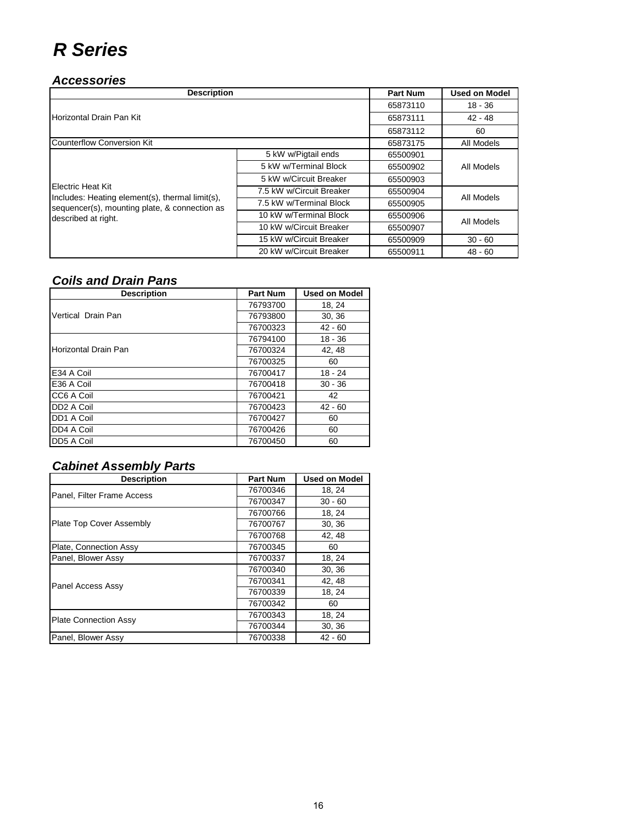## *R Series*

#### *Accessories*

| <b>Description</b>                                                   | <b>Part Num</b>          | <b>Used on Model</b> |            |  |
|----------------------------------------------------------------------|--------------------------|----------------------|------------|--|
|                                                                      |                          | 65873110             | $18 - 36$  |  |
| Horizontal Drain Pan Kit                                             |                          | 65873111             | $42 - 48$  |  |
|                                                                      | 65873112                 | 60                   |            |  |
| <b>Counterflow Conversion Kit</b>                                    |                          | 65873175             | All Models |  |
|                                                                      | 5 kW w/Pigtail ends      | 65500901             | All Models |  |
|                                                                      | 5 kW w/Terminal Block    | 65500902             |            |  |
|                                                                      | 5 kW w/Circuit Breaker   | 65500903             |            |  |
| Electric Heat Kit<br>Includes: Heating element(s), thermal limit(s), | 7.5 kW w/Circuit Breaker | 65500904             | All Models |  |
| sequencer(s), mounting plate, & connection as                        | 7.5 kW w/Terminal Block  | 65500905             |            |  |
| described at right.                                                  | 10 kW w/Terminal Block   | 65500906             |            |  |
|                                                                      | 10 kW w/Circuit Breaker  | 65500907             | All Models |  |
|                                                                      | 15 kW w/Circuit Breaker  | 65500909             | $30 - 60$  |  |
|                                                                      | 20 kW w/Circuit Breaker  | 65500911             | $48 - 60$  |  |

#### *Coils and Drain Pans*

| <b>Description</b>     | <b>Part Num</b> | <b>Used on Model</b> |
|------------------------|-----------------|----------------------|
|                        | 76793700        | 18, 24               |
| Vertical Drain Pan     | 76793800        | 30, 36               |
|                        | 76700323        | $42 - 60$            |
|                        | 76794100        | $18 - 36$            |
| Horizontal Drain Pan   | 76700324        | 42, 48               |
|                        | 76700325        | 60                   |
| E34 A Coil             | 76700417        | $18 - 24$            |
| E36 A Coil             | 76700418        | $30 - 36$            |
| CC6 A Coil             | 76700421        | 42                   |
| DD <sub>2</sub> A Coil | 76700423        | $42 - 60$            |
| DD1 A Coil             | 76700427        | 60                   |
| DD4 A Coil             | 76700426        | 60                   |
| DD5 A Coil             | 76700450        | 60                   |

#### *Cabinet Assembly Parts*

| <b>Description</b>              | <b>Part Num</b> | <b>Used on Model</b> |
|---------------------------------|-----------------|----------------------|
| Panel, Filter Frame Access      | 76700346        | 18, 24               |
|                                 | 76700347        | $30 - 60$            |
|                                 | 76700766        | 18, 24               |
| <b>Plate Top Cover Assembly</b> | 76700767        | 30, 36               |
|                                 | 76700768        | 42, 48               |
| Plate, Connection Assy          | 76700345        | 60                   |
| Panel, Blower Assy              | 76700337        | 18, 24               |
|                                 | 76700340        | 30, 36               |
| <b>Panel Access Assy</b>        | 76700341        | 42, 48               |
|                                 | 76700339        | 18, 24               |
|                                 | 76700342        | 60                   |
| <b>Plate Connection Assy</b>    | 76700343        | 18, 24               |
|                                 | 76700344        | 30, 36               |
| Panel, Blower Assy              | 76700338        | $42 - 60$            |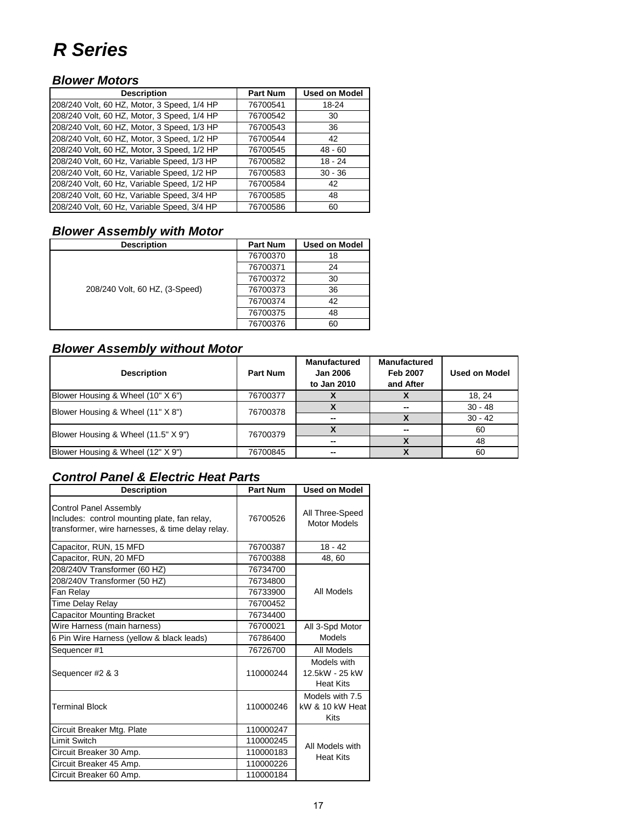### *R Series*

#### *Blower Motors*

| <b>Description</b>                          | <b>Part Num</b> | <b>Used on Model</b> |
|---------------------------------------------|-----------------|----------------------|
| 208/240 Volt, 60 HZ, Motor, 3 Speed, 1/4 HP | 76700541        | 18-24                |
| 208/240 Volt, 60 HZ, Motor, 3 Speed, 1/4 HP | 76700542        | 30                   |
| 208/240 Volt, 60 HZ, Motor, 3 Speed, 1/3 HP | 76700543        | 36                   |
| 208/240 Volt, 60 HZ, Motor, 3 Speed, 1/2 HP | 76700544        | 42                   |
| 208/240 Volt, 60 HZ, Motor, 3 Speed, 1/2 HP | 76700545        | $48 - 60$            |
| 208/240 Volt, 60 Hz, Variable Speed, 1/3 HP | 76700582        | $18 - 24$            |
| 208/240 Volt, 60 Hz, Variable Speed, 1/2 HP | 76700583        | $30 - 36$            |
| 208/240 Volt, 60 Hz, Variable Speed, 1/2 HP | 76700584        | 42                   |
| 208/240 Volt, 60 Hz, Variable Speed, 3/4 HP | 76700585        | 48                   |
| 208/240 Volt, 60 Hz, Variable Speed, 3/4 HP | 76700586        | 60                   |

#### *Blower Assembly with Motor*

| <b>Description</b>             | <b>Part Num</b> | <b>Used on Model</b> |
|--------------------------------|-----------------|----------------------|
| 208/240 Volt, 60 HZ, (3-Speed) | 76700370        | 18                   |
|                                | 76700371        | 24                   |
|                                | 76700372        | 30                   |
|                                | 76700373        | 36                   |
|                                | 76700374        | 42                   |
|                                | 76700375        | 48                   |
|                                | 76700376        | 60                   |

#### *Blower Assembly without Motor*

| <b>Description</b>                  | Part Num | <b>Manufactured</b><br><b>Jan 2006</b><br>to Jan 2010 | <b>Manufactured</b><br>Feb 2007<br>and After | <b>Used on Model</b> |  |  |
|-------------------------------------|----------|-------------------------------------------------------|----------------------------------------------|----------------------|--|--|
| Blower Housing & Wheel (10" X 6")   | 76700377 |                                                       |                                              | 18, 24               |  |  |
| Blower Housing & Wheel (11" X 8")   | 76700378 | --                                                    |                                              |                      |  |  |
|                                     |          | --                                                    |                                              | $30 - 42$            |  |  |
| Blower Housing & Wheel (11.5" X 9") | 76700379 |                                                       | --                                           | 60                   |  |  |
|                                     |          | --                                                    |                                              | 48                   |  |  |
| Blower Housing & Wheel (12" X 9")   | 76700845 | --                                                    |                                              | 60                   |  |  |

| <b>Description</b>                                                                                                                | <b>Part Num</b> | <b>Used on Model</b>                              |
|-----------------------------------------------------------------------------------------------------------------------------------|-----------------|---------------------------------------------------|
| <b>Control Panel Assembly</b><br>Includes: control mounting plate, fan relay,<br>transformer, wire harnesses, & time delay relay. | 76700526        | All Three-Speed<br><b>Motor Models</b>            |
| Capacitor, RUN, 15 MFD                                                                                                            | 76700387        | $18 - 42$                                         |
| Capacitor, RUN, 20 MFD                                                                                                            | 76700388        | 48, 60                                            |
| 208/240V Transformer (60 HZ)                                                                                                      | 76734700        |                                                   |
| 208/240V Transformer (50 HZ)                                                                                                      | 76734800        |                                                   |
| Fan Relay                                                                                                                         | 76733900        | All Models                                        |
| Time Delay Relay                                                                                                                  | 76700452        |                                                   |
| <b>Capacitor Mounting Bracket</b>                                                                                                 | 76734400        |                                                   |
| Wire Harness (main harness)                                                                                                       | 76700021        | All 3-Spd Motor                                   |
| 6 Pin Wire Harness (yellow & black leads)                                                                                         | 76786400        | Models                                            |
| Sequencer #1                                                                                                                      | 76726700        | All Models                                        |
| Sequencer #2 & 3                                                                                                                  | 110000244       | Models with<br>12.5kW - 25 kW<br><b>Heat Kits</b> |
| <b>Terminal Block</b>                                                                                                             | 110000246       | Models with 7.5<br>kW & 10 kW Heat<br><b>Kits</b> |
| Circuit Breaker Mtg. Plate                                                                                                        | 110000247       |                                                   |
| <b>Limit Switch</b>                                                                                                               | 110000245       | All Models with                                   |
| Circuit Breaker 30 Amp.                                                                                                           | 110000183       | <b>Heat Kits</b>                                  |
| Circuit Breaker 45 Amp.                                                                                                           | 110000226       |                                                   |
| Circuit Breaker 60 Amp.                                                                                                           | 110000184       |                                                   |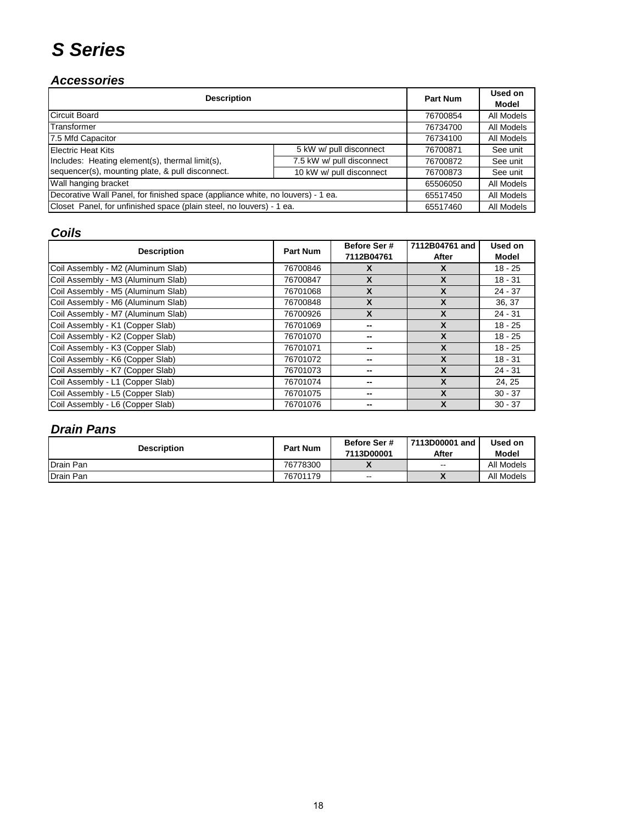# *S Series*

#### *Accessories*

| <b>Description</b>                                                              |                           | <b>Part Num</b> | Used on<br>Model |
|---------------------------------------------------------------------------------|---------------------------|-----------------|------------------|
| <b>Circuit Board</b>                                                            |                           | 76700854        | All Models       |
| Transformer                                                                     |                           | 76734700        | All Models       |
| 7.5 Mfd Capacitor                                                               |                           | 76734100        | All Models       |
| <b>Electric Heat Kits</b>                                                       | 5 kW w/ pull disconnect   | 76700871        | See unit         |
| Includes: Heating element(s), thermal limit(s),                                 | 7.5 kW w/ pull disconnect | 76700872        | See unit         |
| sequencer(s), mounting plate, & pull disconnect.<br>10 kW w/ pull disconnect    |                           | 76700873        | See unit         |
| Wall hanging bracket                                                            |                           | 65506050        | All Models       |
| Decorative Wall Panel, for finished space (appliance white, no louvers) - 1 ea. |                           | 65517450        | All Models       |
| Closet Panel, for unfinished space (plain steel, no louvers) - 1 ea.            |                           | 65517460        | All Models       |

#### *Coils*

| <b>Description</b>                 | <b>Part Num</b> | Before Ser #<br>7112B04761 | 7112B04761 and<br>After   | Used on<br>Model |
|------------------------------------|-----------------|----------------------------|---------------------------|------------------|
| Coil Assembly - M2 (Aluminum Slab) | 76700846        | х                          | X                         | $18 - 25$        |
| Coil Assembly - M3 (Aluminum Slab) | 76700847        | X                          | X                         | $18 - 31$        |
| Coil Assembly - M5 (Aluminum Slab) | 76701068        | X                          | X                         | $24 - 37$        |
| Coil Assembly - M6 (Aluminum Slab) | 76700848        | X                          | X                         | 36, 37           |
| Coil Assembly - M7 (Aluminum Slab) | 76700926        | X                          | $\boldsymbol{\mathsf{x}}$ | $24 - 31$        |
| Coil Assembly - K1 (Copper Slab)   | 76701069        |                            | X                         | $18 - 25$        |
| Coil Assembly - K2 (Copper Slab)   | 76701070        |                            | X                         | $18 - 25$        |
| Coil Assembly - K3 (Copper Slab)   | 76701071        | --                         | $\boldsymbol{\mathsf{x}}$ | $18 - 25$        |
| Coil Assembly - K6 (Copper Slab)   | 76701072        | --                         | X                         | $18 - 31$        |
| Coil Assembly - K7 (Copper Slab)   | 76701073        |                            | X                         | $24 - 31$        |
| Coil Assembly - L1 (Copper Slab)   | 76701074        |                            | $\boldsymbol{x}$          | 24, 25           |
| Coil Assembly - L5 (Copper Slab)   | 76701075        |                            | X                         | $30 - 37$        |
| Coil Assembly - L6 (Copper Slab)   | 76701076        |                            | X                         | $30 - 37$        |

### *Drain Pans*

| <b>Description</b> | <b>Part Num</b> | Before Ser #<br>7113D00001 | 7113D00001 and<br>After  | Used on<br>Model |
|--------------------|-----------------|----------------------------|--------------------------|------------------|
| Drain Pan          | 76778300        | 71                         | $-$                      | All Models       |
| Drain Pan          | 76701179        | $\hspace{0.05cm}$          | $\overline{\phantom{a}}$ | All Models       |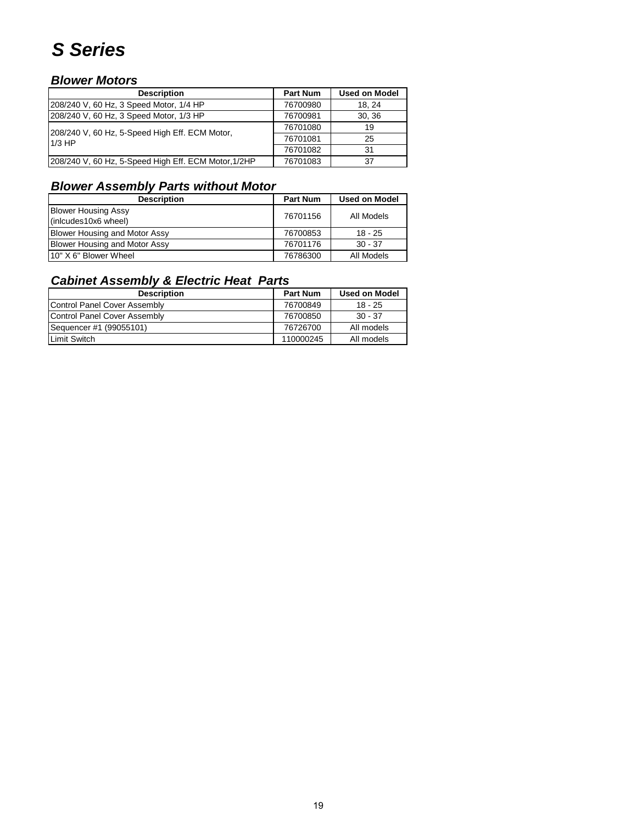# *S Series*

#### *Blower Motors*

| <b>Description</b>                                         | <b>Part Num</b> | <b>Used on Model</b> |
|------------------------------------------------------------|-----------------|----------------------|
| 208/240 V, 60 Hz, 3 Speed Motor, 1/4 HP                    | 76700980        | 18.24                |
| 208/240 V, 60 Hz, 3 Speed Motor, 1/3 HP                    | 76700981        | 30.36                |
| 208/240 V, 60 Hz, 5-Speed High Eff. ECM Motor,<br>$1/3$ HP | 76701080        | 19                   |
|                                                            | 76701081        | 25                   |
|                                                            | 76701082        | 31                   |
| 208/240 V, 60 Hz, 5-Speed High Eff. ECM Motor, 1/2HP       | 76701083        | 37                   |

#### *Blower Assembly Parts without Motor*

| <b>Description</b>                   | <b>Part Num</b> | <b>Used on Model</b> |
|--------------------------------------|-----------------|----------------------|
| <b>Blower Housing Assy</b>           | 76701156        | All Models           |
| (inlcudes10x6 wheel)                 |                 |                      |
| <b>Blower Housing and Motor Assy</b> | 76700853        | $18 - 25$            |
| <b>Blower Housing and Motor Assy</b> | 76701176        | $30 - 37$            |
| 10" X 6" Blower Wheel                | 76786300        | All Models           |

### *Cabinet Assembly & Electric Heat Parts*

| <b>Description</b>           | <b>Part Num</b> | <b>Used on Model</b> |
|------------------------------|-----------------|----------------------|
| Control Panel Cover Assembly | 76700849        | $18 - 25$            |
| Control Panel Cover Assembly | 76700850        | $30 - 37$            |
| Sequencer #1 (99055101)      | 76726700        | All models           |
| <b>Limit Switch</b>          | 110000245       | All models           |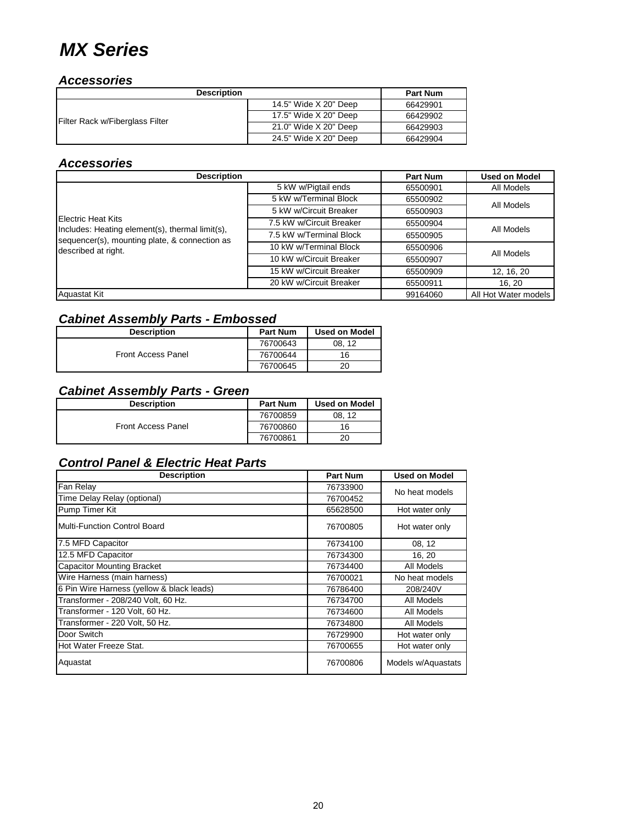### *MX Series*

#### *Accessories*

| <b>Description</b>              |                       | <b>Part Num</b> |
|---------------------------------|-----------------------|-----------------|
|                                 | 14.5" Wide X 20" Deep | 66429901        |
| Filter Rack w/Fiberglass Filter | 17.5" Wide X 20" Deep | 66429902        |
|                                 | 21.0" Wide X 20" Deep | 66429903        |
|                                 | 24.5" Wide X 20" Deep | 66429904        |

#### *Accessories*

| <b>Description</b>                                                                               |                          | <b>Part Num</b> | <b>Used on Model</b> |
|--------------------------------------------------------------------------------------------------|--------------------------|-----------------|----------------------|
|                                                                                                  | 5 kW w/Pigtail ends      | 65500901        | All Models           |
|                                                                                                  | 5 kW w/Terminal Block    | 65500902        | All Models           |
|                                                                                                  | 5 kW w/Circuit Breaker   | 65500903        |                      |
| <b>Electric Heat Kits</b>                                                                        | 7.5 kW w/Circuit Breaker | 65500904        | All Models           |
| Includes: Heating element(s), thermal limit(s),<br>sequencer(s), mounting plate, & connection as | 7.5 kW w/Terminal Block  | 65500905        |                      |
| described at right.                                                                              | 10 kW w/Terminal Block   | 65500906        | All Models           |
|                                                                                                  | 10 kW w/Circuit Breaker  | 65500907        |                      |
|                                                                                                  | 15 kW w/Circuit Breaker  | 65500909        | 12, 16, 20           |
|                                                                                                  | 20 kW w/Circuit Breaker  | 65500911        | 16.20                |
| <b>Aquastat Kit</b>                                                                              |                          | 99164060        | All Hot Water models |

#### *Cabinet Assembly Parts - Embossed*

| <b>Description</b>        | <b>Part Num</b> | <b>Used on Model</b> |
|---------------------------|-----------------|----------------------|
| <b>Front Access Panel</b> | 76700643        | 08.12                |
|                           | 76700644        | 16                   |
|                           | 76700645        | 20                   |

#### *Cabinet Assembly Parts - Green*

| <b>Description</b>        | <b>Part Num</b> | <b>Used on Model</b> |
|---------------------------|-----------------|----------------------|
| <b>Front Access Panel</b> | 76700859        | 08.12                |
|                           | 76700860        | 16                   |
|                           | 76700861        | 20                   |

| <b>Description</b>                        | Part Num | <b>Used on Model</b> |
|-------------------------------------------|----------|----------------------|
| Fan Relay                                 | 76733900 | No heat models       |
| Time Delay Relay (optional)               | 76700452 |                      |
| Pump Timer Kit                            | 65628500 | Hot water only       |
| Multi-Function Control Board              | 76700805 | Hot water only       |
| 7.5 MFD Capacitor                         | 76734100 | 08, 12               |
| 12.5 MFD Capacitor                        | 76734300 | 16, 20               |
| <b>Capacitor Mounting Bracket</b>         | 76734400 | All Models           |
| Wire Harness (main harness)               | 76700021 | No heat models       |
| 6 Pin Wire Harness (yellow & black leads) | 76786400 | 208/240V             |
| Transformer - 208/240 Volt, 60 Hz.        | 76734700 | All Models           |
| Transformer - 120 Volt, 60 Hz.            | 76734600 | All Models           |
| Transformer - 220 Volt, 50 Hz.            | 76734800 | All Models           |
| Door Switch                               | 76729900 | Hot water only       |
| Hot Water Freeze Stat.                    | 76700655 | Hot water only       |
| Aquastat                                  | 76700806 | Models w/Aquastats   |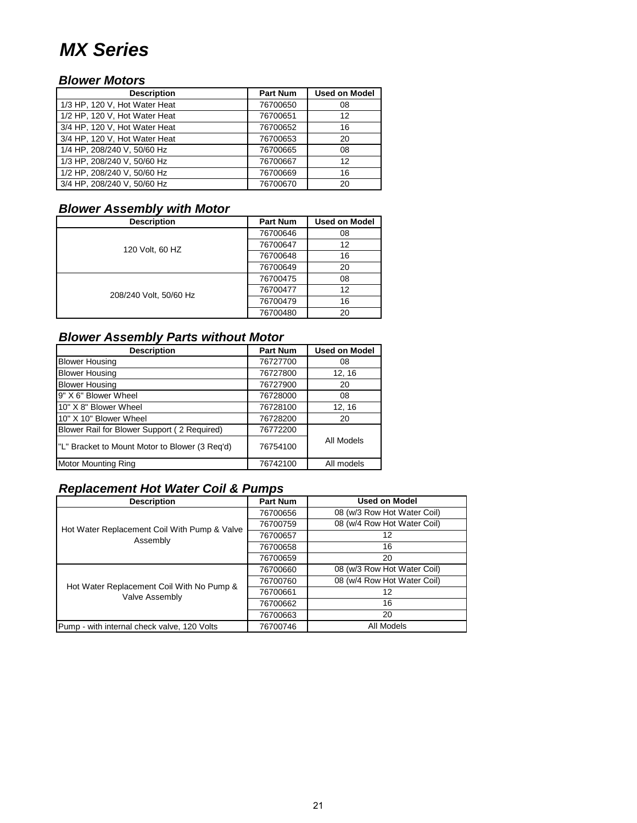### *MX Series*

#### *Blower Motors*

| <b>Description</b>            | <b>Part Num</b> | <b>Used on Model</b> |
|-------------------------------|-----------------|----------------------|
| 1/3 HP, 120 V, Hot Water Heat | 76700650        | 08                   |
| 1/2 HP, 120 V, Hot Water Heat | 76700651        | 12                   |
| 3/4 HP, 120 V, Hot Water Heat | 76700652        | 16                   |
| 3/4 HP, 120 V, Hot Water Heat | 76700653        | 20                   |
| 1/4 HP, 208/240 V, 50/60 Hz   | 76700665        | 08                   |
| 1/3 HP, 208/240 V, 50/60 Hz   | 76700667        | 12                   |
| 1/2 HP, 208/240 V, 50/60 Hz   | 76700669        | 16                   |
| 3/4 HP, 208/240 V, 50/60 Hz   | 76700670        | 20                   |

### *Blower Assembly with Motor*

| <b>Description</b>     | <b>Part Num</b> | <b>Used on Model</b> |
|------------------------|-----------------|----------------------|
|                        | 76700646        | 08                   |
| 120 Volt, 60 HZ        | 76700647        | 12                   |
|                        | 76700648        | 16                   |
|                        | 76700649        | 20                   |
|                        | 76700475        | 08                   |
| 208/240 Volt, 50/60 Hz | 76700477        | 12                   |
|                        | 76700479        | 16                   |
|                        | 76700480        | 20                   |

### *Blower Assembly Parts without Motor*

| <b>Description</b>                             | <b>Part Num</b> | <b>Used on Model</b> |
|------------------------------------------------|-----------------|----------------------|
| <b>Blower Housing</b>                          | 76727700        | 08                   |
| <b>Blower Housing</b>                          | 76727800        | 12, 16               |
| <b>Blower Housing</b>                          | 76727900        | 20                   |
| 9" X 6" Blower Wheel                           | 76728000        | 08                   |
| 10" X 8" Blower Wheel                          | 76728100        | 12, 16               |
| 10" X 10" Blower Wheel                         | 76728200        | 20                   |
| Blower Rail for Blower Support (2 Required)    | 76772200        |                      |
| "L" Bracket to Mount Motor to Blower (3 Reg'd) | 76754100        | All Models           |
| <b>Motor Mounting Ring</b>                     | 76742100        | All models           |

### *Replacement Hot Water Coil & Pumps*

| <b>Description</b>                                          | <b>Part Num</b> | <b>Used on Model</b>        |
|-------------------------------------------------------------|-----------------|-----------------------------|
| Hot Water Replacement Coil With Pump & Valve<br>Assembly    | 76700656        | 08 (w/3 Row Hot Water Coil) |
|                                                             | 76700759        | 08 (w/4 Row Hot Water Coil) |
|                                                             | 76700657        | 12                          |
|                                                             | 76700658        | 16                          |
|                                                             | 76700659        | 20                          |
| Hot Water Replacement Coil With No Pump &<br>Valve Assembly | 76700660        | 08 (w/3 Row Hot Water Coil) |
|                                                             | 76700760        | 08 (w/4 Row Hot Water Coil) |
|                                                             | 76700661        | 12                          |
|                                                             | 76700662        | 16                          |
|                                                             | 76700663        | 20                          |
| Pump - with internal check valve, 120 Volts                 | 76700746        | All Models                  |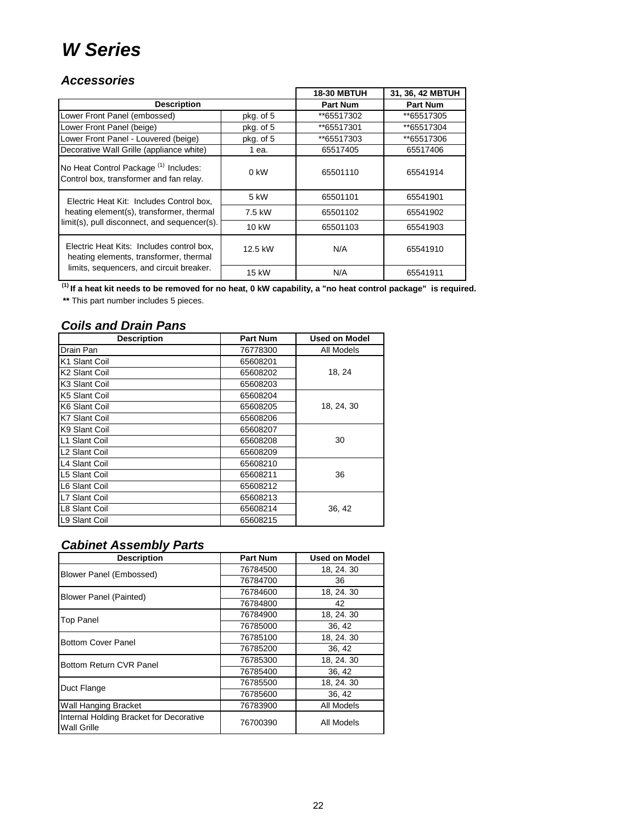### *W Series*

#### *Accessories*

|                                                                                             |           | <b>18-30 MBTUH</b> | 31, 36, 42 MBTUH |
|---------------------------------------------------------------------------------------------|-----------|--------------------|------------------|
| <b>Description</b>                                                                          |           | <b>Part Num</b>    | <b>Part Num</b>  |
| Lower Front Panel (embossed)                                                                | pkg. of 5 | **65517302         | **65517305       |
| Lower Front Panel (beige)                                                                   | pkg. of 5 | **65517301         | **65517304       |
| Lower Front Panel - Louvered (beige)                                                        | pkg. of 5 | **65517303         | **65517306       |
| Decorative Wall Grille (appliance white)                                                    | 1 ea.     | 65517405           | 65517406         |
| No Heat Control Package <sup>(1)</sup> Includes:<br>Control box, transformer and fan relay. | $0$ kW    | 65501110           | 65541914         |
| Electric Heat Kit: Includes Control box,                                                    | 5 kW      | 65501101           | 65541901         |
| heating element(s), transformer, thermal                                                    | 7.5 kW    | 65501102           | 65541902         |
| limit(s), pull disconnect, and sequencer(s).                                                | 10 kW     | 65501103           | 65541903         |
| Electric Heat Kits: Includes control box.<br>heating elements, transformer, thermal         | 12.5 kW   | N/A                | 65541910         |
| limits, sequencers, and circuit breaker.                                                    | 15 kW     | N/A                | 65541911         |

 **(1) If a heat kit needs to be removed for no heat, 0 kW capability, a "no heat control package" is required.**

 **\*\*** This part number includes 5 pieces.

#### *Coils and Drain Pans*

| <b>Description</b>        | Part Num | <b>Used on Model</b> |
|---------------------------|----------|----------------------|
| Drain Pan                 | 76778300 | All Models           |
| K1 Slant Coil             | 65608201 |                      |
| K <sub>2</sub> Slant Coil | 65608202 | 18, 24               |
| K <sub>3</sub> Slant Coil | 65608203 |                      |
| K5 Slant Coil             | 65608204 |                      |
| K6 Slant Coil             | 65608205 | 18, 24, 30           |
| <b>K7 Slant Coil</b>      | 65608206 |                      |
| K9 Slant Coil             | 65608207 |                      |
| L1 Slant Coil             | 65608208 | 30                   |
| L <sub>2</sub> Slant Coil | 65608209 |                      |
| L4 Slant Coil             | 65608210 |                      |
| L5 Slant Coil             | 65608211 | 36                   |
| L6 Slant Coil             | 65608212 |                      |
| L7 Slant Coil             | 65608213 |                      |
| L8 Slant Coil             | 65608214 | 36, 42               |
| L9 Slant Coil             | 65608215 |                      |

#### *Cabinet Assembly Parts*

| <b>Description</b>                                            | <b>Part Num</b> | <b>Used on Model</b> |
|---------------------------------------------------------------|-----------------|----------------------|
| Blower Panel (Embossed)                                       | 76784500        | 18, 24, 30           |
|                                                               | 76784700        | 36                   |
| <b>Blower Panel (Painted)</b>                                 | 76784600        | 18, 24, 30           |
|                                                               | 76784800        | 42                   |
| <b>Top Panel</b>                                              | 76784900        | 18, 24, 30           |
|                                                               | 76785000        | 36, 42               |
| <b>Bottom Cover Panel</b>                                     | 76785100        | 18, 24, 30           |
|                                                               | 76785200        | 36, 42               |
| Bottom Return CVR Panel                                       | 76785300        | 18, 24, 30           |
|                                                               | 76785400        | 36, 42               |
| Duct Flange                                                   | 76785500        | 18, 24, 30           |
|                                                               | 76785600        | 36, 42               |
| Wall Hanging Bracket                                          | 76783900        | All Models           |
| Internal Holding Bracket for Decorative<br><b>Wall Grille</b> | 76700390        | All Models           |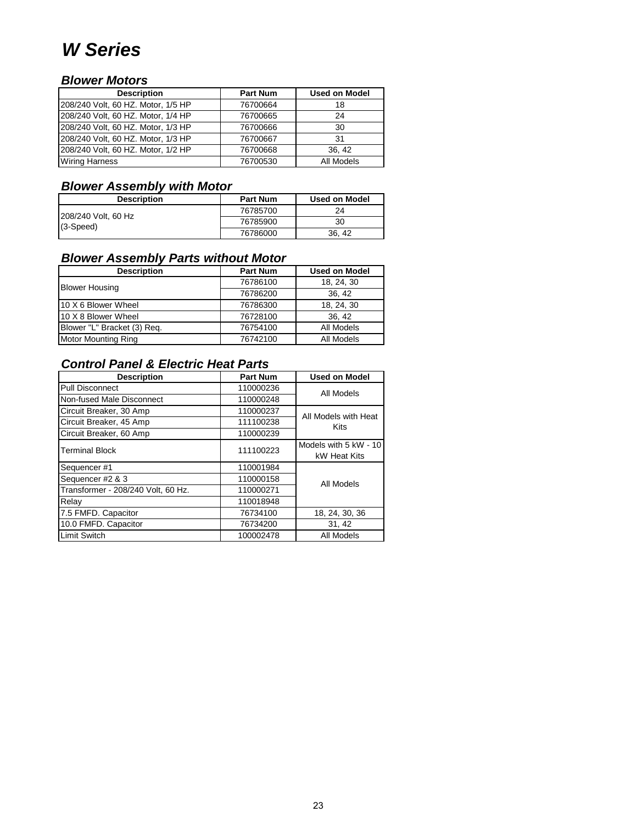### *W Series*

#### *Blower Motors*

| <b>Description</b>                 | <b>Part Num</b> | <b>Used on Model</b> |
|------------------------------------|-----------------|----------------------|
| 208/240 Volt, 60 HZ. Motor, 1/5 HP | 76700664        | 18                   |
| 208/240 Volt, 60 HZ. Motor, 1/4 HP | 76700665        | 24                   |
| 208/240 Volt, 60 HZ. Motor, 1/3 HP | 76700666        | -30                  |
| 208/240 Volt, 60 HZ. Motor, 1/3 HP | 76700667        | 31                   |
| 208/240 Volt, 60 HZ. Motor, 1/2 HP | 76700668        | 36.42                |
| <b>Wiring Harness</b>              | 76700530        | All Models           |

#### *Blower Assembly with Motor*

| <b>Description</b>  | <b>Part Num</b> | Used on Model |
|---------------------|-----------------|---------------|
| 208/240 Volt, 60 Hz | 76785700        | 24            |
| $(3-Speed)$         | 76785900        | 30            |
|                     | 76786000        | 36, 42        |

#### *Blower Assembly Parts without Motor*

| <b>Description</b>          | <b>Part Num</b> | <b>Used on Model</b> |
|-----------------------------|-----------------|----------------------|
| <b>Blower Housing</b>       | 76786100        | 18, 24, 30           |
|                             | 76786200        | 36, 42               |
| 10 X 6 Blower Wheel         | 76786300        | 18, 24, 30           |
| 10 X 8 Blower Wheel         | 76728100        | 36, 42               |
| Blower "L" Bracket (3) Req. | 76754100        | All Models           |
| <b>Motor Mounting Ring</b>  | 76742100        | All Models           |

| <b>Description</b>                 | <b>Part Num</b>       | <b>Used on Model</b> |
|------------------------------------|-----------------------|----------------------|
| <b>Pull Disconnect</b>             | 110000236             | All Models           |
| Non-fused Male Disconnect          | 110000248             |                      |
| Circuit Breaker, 30 Amp            | 110000237             | All Models with Heat |
| Circuit Breaker, 45 Amp            | 111100238             | Kits                 |
| Circuit Breaker, 60 Amp            | 110000239             |                      |
| <b>Terminal Block</b><br>111100223 | Models with 5 kW - 10 |                      |
|                                    |                       | kW Heat Kits         |
| Sequencer #1                       | 110001984             |                      |
| Sequencer #2 & 3                   | 110000158             | All Models           |
| Transformer - 208/240 Volt, 60 Hz. | 110000271             |                      |
| Relay                              | 110018948             |                      |
| 7.5 FMFD. Capacitor                | 76734100              | 18, 24, 30, 36       |
| 10.0 FMFD. Capacitor               | 76734200              | 31, 42               |
| <b>Limit Switch</b>                | 100002478             | All Models           |